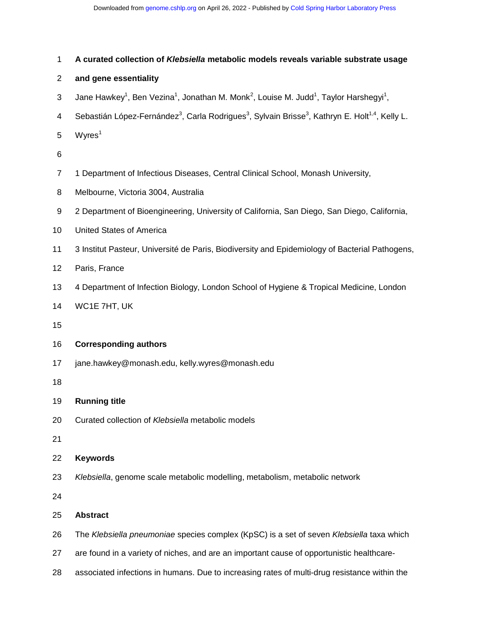#### 1 **A curated collection of** *Klebsiella* **metabolic models reveals variable substrate usage**

#### 2 **and gene essentiality**

- 3 Jane Hawkey<sup>1</sup>, Ben Vezina<sup>1</sup>, Jonathan M. Monk<sup>2</sup>, Louise M. Judd<sup>1</sup>, Taylor Harshegyi<sup>1</sup>,
- 4 Sebastián López-Fernández<sup>3</sup>, Carla Rodrigues<sup>3</sup>, Sylvain Brisse<sup>3</sup>, Kathryn E. Holt<sup>1,4</sup>, Kelly L.
- 5  $Wvres<sup>1</sup>$
- 6
- 7 1 Department of Infectious Diseases, Central Clinical School, Monash University,
- 8 Melbourne, Victoria 3004, Australia
- 9 2 Department of Bioengineering, University of California, San Diego, San Diego, California,
- 10 United States of America
- 11 3 Institut Pasteur, Université de Paris, Biodiversity and Epidemiology of Bacterial Pathogens,
- 12 Paris, France
- 13 4 Department of Infection Biology, London School of Hygiene & Tropical Medicine, London
- 14 WC1E 7HT, UK
- 15

## 16 **Corresponding authors**

17 jane.hawkey@monash.edu, kelly.wyres@monash.edu

18

## 19 **Running title**

- 20 Curated collection of *Klebsiella* metabolic models
- 21

#### 22 **Keywords**

23 *Klebsiella*, genome scale metabolic modelling, metabolism, metabolic network

24

## 25 **Abstract**

- 26 The *Klebsiella pneumoniae* species complex (KpSC) is a set of seven *Klebsiella* taxa which
- 27 are found in a variety of niches, and are an important cause of opportunistic healthcare-
- 28 associated infections in humans. Due to increasing rates of multi-drug resistance within the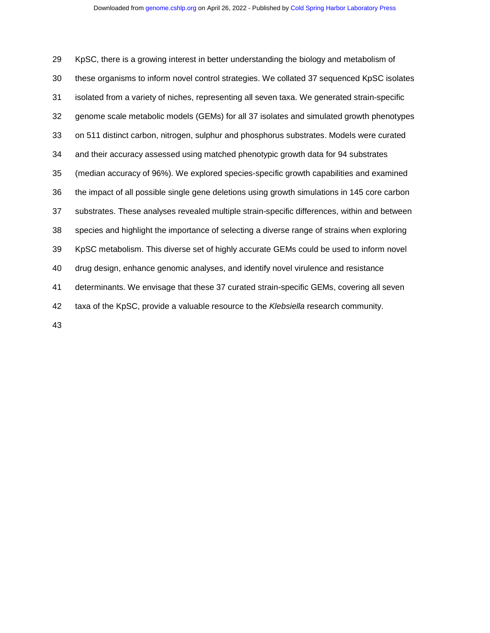29 KpSC, there is a growing interest in better understanding the biology and metabolism of 30 these organisms to inform novel control strategies. We collated 37 sequenced KpSC isolates 31 isolated from a variety of niches, representing all seven taxa. We generated strain-specific 32 genome scale metabolic models (GEMs) for all 37 isolates and simulated growth phenotypes 33 on 511 distinct carbon, nitrogen, sulphur and phosphorus substrates. Models were curated 34 and their accuracy assessed using matched phenotypic growth data for 94 substrates 35 (median accuracy of 96%). We explored species-specific growth capabilities and examined 36 the impact of all possible single gene deletions using growth simulations in 145 core carbon 37 substrates. These analyses revealed multiple strain-specific differences, within and between 38 species and highlight the importance of selecting a diverse range of strains when exploring 39 KpSC metabolism. This diverse set of highly accurate GEMs could be used to inform novel 40 drug design, enhance genomic analyses, and identify novel virulence and resistance 41 determinants. We envisage that these 37 curated strain-specific GEMs, covering all seven 42 taxa of the KpSC, provide a valuable resource to the *Klebsiella* research community.

43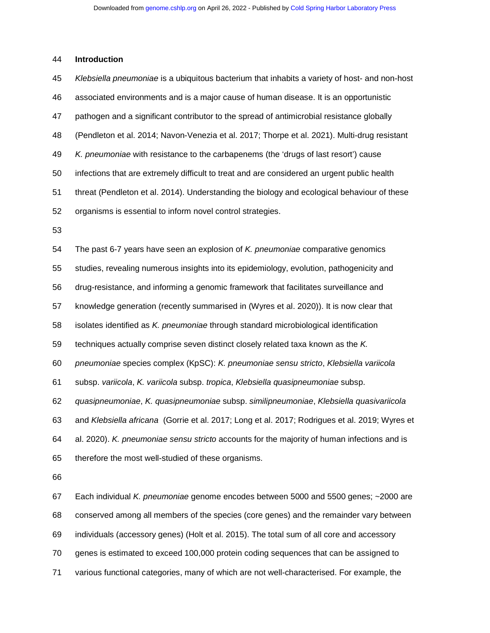#### 44 **Introduction**

| 45 | Klebsiella pneumoniae is a ubiquitous bacterium that inhabits a variety of host- and non-host  |
|----|------------------------------------------------------------------------------------------------|
| 46 | associated environments and is a major cause of human disease. It is an opportunistic          |
| 47 | pathogen and a significant contributor to the spread of antimicrobial resistance globally      |
| 48 | (Pendleton et al. 2014; Navon-Venezia et al. 2017; Thorpe et al. 2021). Multi-drug resistant   |
| 49 | K. pneumoniae with resistance to the carbapenems (the 'drugs of last resort') cause            |
| 50 | infections that are extremely difficult to treat and are considered an urgent public health    |
| 51 | threat (Pendleton et al. 2014). Understanding the biology and ecological behaviour of these    |
| 52 | organisms is essential to inform novel control strategies.                                     |
| 53 |                                                                                                |
| 54 | The past 6-7 years have seen an explosion of K. pneumoniae comparative genomics                |
| 55 | studies, revealing numerous insights into its epidemiology, evolution, pathogenicity and       |
| 56 | drug-resistance, and informing a genomic framework that facilitates surveillance and           |
| 57 | knowledge generation (recently summarised in (Wyres et al. 2020)). It is now clear that        |
| 58 | isolates identified as K. pneumoniae through standard microbiological identification           |
| 59 | techniques actually comprise seven distinct closely related taxa known as the K.               |
| 60 | pneumoniae species complex (KpSC): K. pneumoniae sensu stricto, Klebsiella variicola           |
| 61 | subsp. variicola, K. variicola subsp. tropica, Klebsiella quasipneumoniae subsp.               |
| 62 | quasipneumoniae, K. quasipneumoniae subsp. similipneumoniae, Klebsiella quasivariicola         |
| 63 | and Klebsiella africana (Gorrie et al. 2017; Long et al. 2017; Rodrigues et al. 2019; Wyres et |
| 64 | al. 2020). K. pneumoniae sensu stricto accounts for the majority of human infections and is    |
| 65 | therefore the most well-studied of these organisms.                                            |
| 66 |                                                                                                |
| 67 | Each individual K. pneumoniae genome encodes between 5000 and 5500 genes; ~2000 are            |

68 conserved among all members of the species (core genes) and the remainder vary between 69 individuals (accessory genes) (Holt et al. 2015). The total sum of all core and accessory 70 genes is estimated to exceed 100,000 protein coding sequences that can be assigned to 71 various functional categories, many of which are not well-characterised. For example, the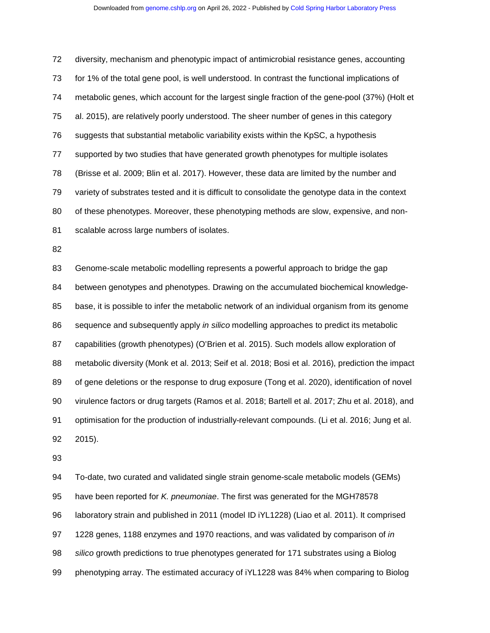72 diversity, mechanism and phenotypic impact of antimicrobial resistance genes, accounting 73 for 1% of the total gene pool, is well understood. In contrast the functional implications of 74 metabolic genes, which account for the largest single fraction of the gene-pool (37%) (Holt et 75 al. 2015), are relatively poorly understood. The sheer number of genes in this category 76 suggests that substantial metabolic variability exists within the KpSC, a hypothesis 77 supported by two studies that have generated growth phenotypes for multiple isolates 78 (Brisse et al. 2009; Blin et al. 2017). However, these data are limited by the number and 79 variety of substrates tested and it is difficult to consolidate the genotype data in the context 80 of these phenotypes. Moreover, these phenotyping methods are slow, expensive, and non-81 scalable across large numbers of isolates.

82

83 Genome-scale metabolic modelling represents a powerful approach to bridge the gap 84 between genotypes and phenotypes. Drawing on the accumulated biochemical knowledge-85 base, it is possible to infer the metabolic network of an individual organism from its genome 86 sequence and subsequently apply *in silico* modelling approaches to predict its metabolic 87 capabilities (growth phenotypes) (O'Brien et al. 2015). Such models allow exploration of 88 metabolic diversity (Monk et al. 2013; Seif et al. 2018; Bosi et al. 2016), prediction the impact 89 of gene deletions or the response to drug exposure (Tong et al. 2020), identification of novel 90 virulence factors or drug targets (Ramos et al. 2018; Bartell et al. 2017; Zhu et al. 2018), and 91 optimisation for the production of industrially-relevant compounds. (Li et al. 2016; Jung et al. 92 2015).

93

94 To-date, two curated and validated single strain genome-scale metabolic models (GEMs) 95 have been reported for *K. pneumoniae*. The first was generated for the MGH78578 96 laboratory strain and published in 2011 (model ID iYL1228) (Liao et al. 2011). It comprised 97 1228 genes, 1188 enzymes and 1970 reactions, and was validated by comparison of *in*  98 *silico* growth predictions to true phenotypes generated for 171 substrates using a Biolog 99 phenotyping array. The estimated accuracy of iYL1228 was 84% when comparing to Biolog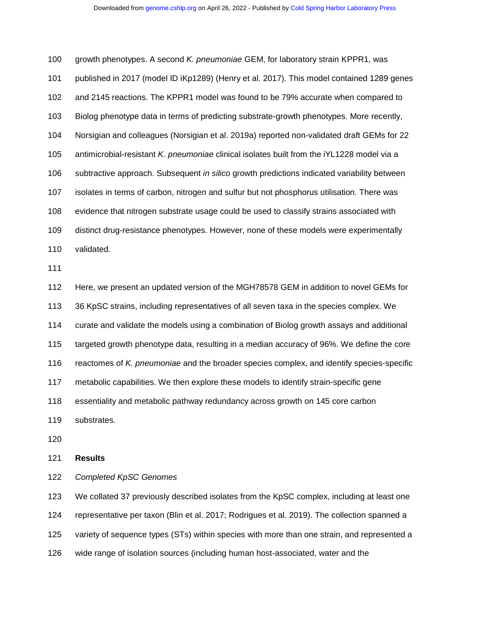100 growth phenotypes. A second *K. pneumoniae* GEM, for laboratory strain KPPR1, was 101 published in 2017 (model ID iKp1289) (Henry et al. 2017). This model contained 1289 genes 102 and 2145 reactions. The KPPR1 model was found to be 79% accurate when compared to 103 Biolog phenotype data in terms of predicting substrate-growth phenotypes. More recently, 104 Norsigian and colleagues (Norsigian et al. 2019a) reported non-validated draft GEMs for 22 105 antimicrobial-resistant *K. pneumoniae* clinical isolates built from the iYL1228 model via a 106 subtractive approach. Subsequent *in silico* growth predictions indicated variability between 107 isolates in terms of carbon, nitrogen and sulfur but not phosphorus utilisation. There was 108 evidence that nitrogen substrate usage could be used to classify strains associated with 109 distinct drug-resistance phenotypes. However, none of these models were experimentally 110 validated.

111

112 Here, we present an updated version of the MGH78578 GEM in addition to novel GEMs for 113 36 KpSC strains, including representatives of all seven taxa in the species complex. We 114 curate and validate the models using a combination of Biolog growth assays and additional 115 targeted growth phenotype data, resulting in a median accuracy of 96%. We define the core 116 reactomes of *K. pneumoniae* and the broader species complex, and identify species-specific 117 metabolic capabilities. We then explore these models to identify strain-specific gene 118 essentiality and metabolic pathway redundancy across growth on 145 core carbon 119 substrates.

120

#### 121 **Results**

#### 122 *Completed KpSC Genomes*

123 We collated 37 previously described isolates from the KpSC complex, including at least one 124 representative per taxon (Blin et al. 2017; Rodrigues et al. 2019). The collection spanned a 125 variety of sequence types (STs) within species with more than one strain, and represented a 126 wide range of isolation sources (including human host-associated, water and the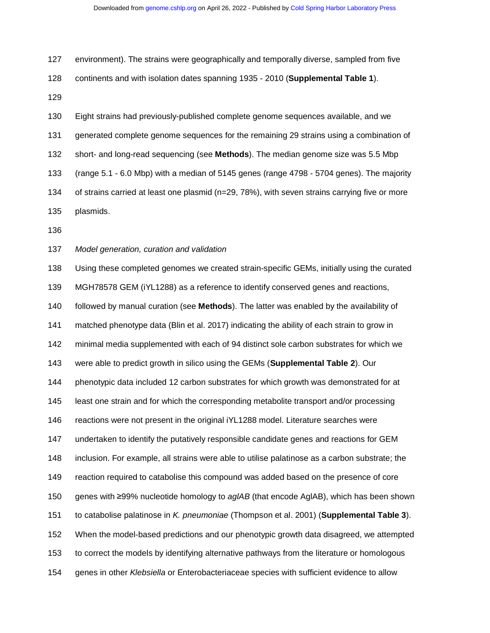127 environment). The strains were geographically and temporally diverse, sampled from five 128 continents and with isolation dates spanning 1935 - 2010 (**Supplemental Table 1**). 129 130 Eight strains had previously-published complete genome sequences available, and we 131 generated complete genome sequences for the remaining 29 strains using a combination of 132 short- and long-read sequencing (see **Methods**). The median genome size was 5.5 Mbp

133 (range 5.1 - 6.0 Mbp) with a median of 5145 genes (range 4798 - 5704 genes). The majority 134 of strains carried at least one plasmid (n=29, 78%), with seven strains carrying five or more 135 plasmids.

136

137 *Model generation, curation and validation* 

138 Using these completed genomes we created strain-specific GEMs, initially using the curated 139 MGH78578 GEM (iYL1288) as a reference to identify conserved genes and reactions, 140 followed by manual curation (see **Methods**). The latter was enabled by the availability of 141 matched phenotype data (Blin et al. 2017) indicating the ability of each strain to grow in 142 minimal media supplemented with each of 94 distinct sole carbon substrates for which we 143 were able to predict growth in silico using the GEMs (**Supplemental Table 2**). Our 144 phenotypic data included 12 carbon substrates for which growth was demonstrated for at 145 least one strain and for which the corresponding metabolite transport and/or processing 146 reactions were not present in the original iYL1288 model. Literature searches were 147 undertaken to identify the putatively responsible candidate genes and reactions for GEM 148 inclusion. For example, all strains were able to utilise palatinose as a carbon substrate; the 149 reaction required to catabolise this compound was added based on the presence of core 150 genes with ≥99% nucleotide homology to *aglAB* (that encode AglAB), which has been shown 151 to catabolise palatinose in *K. pneumoniae* (Thompson et al. 2001) (**Supplemental Table 3**). 152 When the model-based predictions and our phenotypic growth data disagreed, we attempted 153 to correct the models by identifying alternative pathways from the literature or homologous 154 genes in other *Klebsiella* or Enterobacteriaceae species with sufficient evidence to allow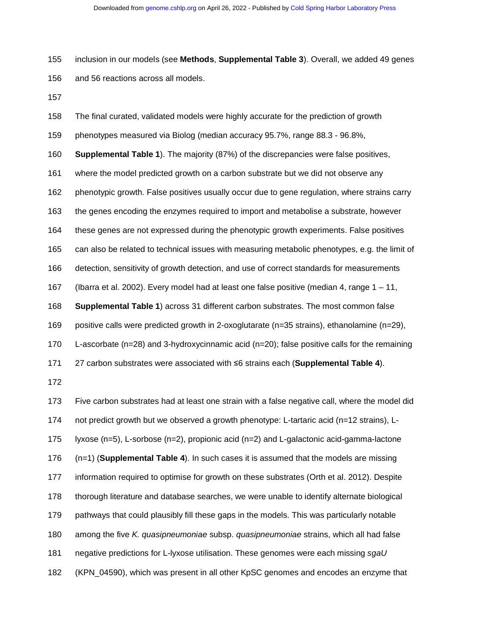155 inclusion in our models (see **Methods**, **Supplemental Table 3**). Overall, we added 49 genes 156 and 56 reactions across all models.

157

158 The final curated, validated models were highly accurate for the prediction of growth 159 phenotypes measured via Biolog (median accuracy 95.7%, range 88.3 - 96.8%, 160 **Supplemental Table 1**). The majority (87%) of the discrepancies were false positives, 161 where the model predicted growth on a carbon substrate but we did not observe any 162 phenotypic growth. False positives usually occur due to gene regulation, where strains carry 163 the genes encoding the enzymes required to import and metabolise a substrate, however 164 these genes are not expressed during the phenotypic growth experiments. False positives 165 can also be related to technical issues with measuring metabolic phenotypes, e.g. the limit of 166 detection, sensitivity of growth detection, and use of correct standards for measurements 167 (Ibarra et al. 2002). Every model had at least one false positive (median 4, range 1 – 11, 168 **Supplemental Table 1**) across 31 different carbon substrates. The most common false 169 positive calls were predicted growth in 2-oxoglutarate (n=35 strains), ethanolamine (n=29), 170 L-ascorbate (n=28) and 3-hydroxycinnamic acid (n=20); false positive calls for the remaining 171 27 carbon substrates were associated with ≤6 strains each (**Supplemental Table 4**). 172 173 Five carbon substrates had at least one strain with a false negative call, where the model did 174 not predict growth but we observed a growth phenotype: L-tartaric acid (n=12 strains), L-175 lyxose (n=5), L-sorbose (n=2), propionic acid (n=2) and L-galactonic acid-gamma-lactone 176 (n=1) (**Supplemental Table 4**). In such cases it is assumed that the models are missing 177 information required to optimise for growth on these substrates (Orth et al. 2012). Despite 178 thorough literature and database searches, we were unable to identify alternate biological 179 pathways that could plausibly fill these gaps in the models. This was particularly notable

180 among the five *K. quasipneumoniae* subsp. *quasipneumoniae* strains, which all had false

181 negative predictions for L-lyxose utilisation. These genomes were each missing *sgaU*

182 (KPN\_04590), which was present in all other KpSC genomes and encodes an enzyme that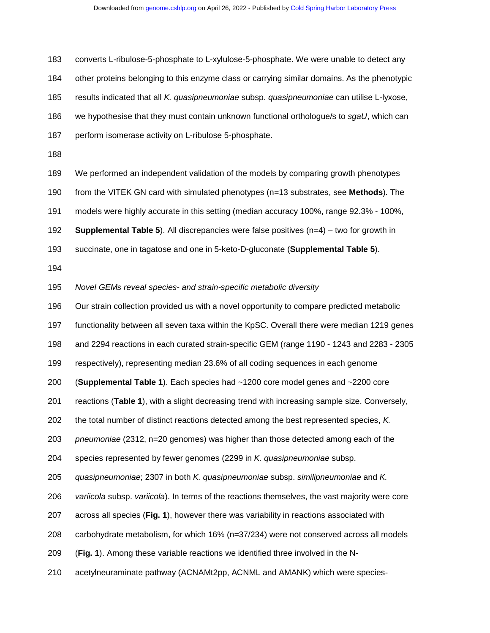183 converts L-ribulose-5-phosphate to L-xylulose-5-phosphate. We were unable to detect any 184 other proteins belonging to this enzyme class or carrying similar domains. As the phenotypic 185 results indicated that all *K. quasipneumoniae* subsp. *quasipneumoniae* can utilise L-lyxose, 186 we hypothesise that they must contain unknown functional orthologue/s to *sgaU*, which can 187 perform isomerase activity on L-ribulose 5-phosphate. 188 189 We performed an independent validation of the models by comparing growth phenotypes 190 from the VITEK GN card with simulated phenotypes (n=13 substrates, see **Methods**). The 191 models were highly accurate in this setting (median accuracy 100%, range 92.3% - 100%, 192 **Supplemental Table 5**). All discrepancies were false positives (n=4) – two for growth in 193 succinate, one in tagatose and one in 5-keto-D-gluconate (**Supplemental Table 5**). 194 195 *Novel GEMs reveal species- and strain-specific metabolic diversity* 196 Our strain collection provided us with a novel opportunity to compare predicted metabolic 197 functionality between all seven taxa within the KpSC. Overall there were median 1219 genes 198 and 2294 reactions in each curated strain-specific GEM (range 1190 - 1243 and 2283 - 2305 199 respectively), representing median 23.6% of all coding sequences in each genome 200 (**Supplemental Table 1**). Each species had ~1200 core model genes and ~2200 core 201 reactions (**Table 1**), with a slight decreasing trend with increasing sample size. Conversely, 202 the total number of distinct reactions detected among the best represented species, *K.*  203 *pneumoniae* (2312, n=20 genomes) was higher than those detected among each of the 204 species represented by fewer genomes (2299 in *K. quasipneumoniae* subsp. 205 *quasipneumoniae*; 2307 in both *K. quasipneumoniae* subsp. *similipneumoniae* and *K.*  206 *variicola* subsp. *variicola*). In terms of the reactions themselves, the vast majority were core 207 across all species (**Fig. 1**), however there was variability in reactions associated with 208 carbohydrate metabolism, for which 16% (n=37/234) were not conserved across all models 209 (**Fig. 1**). Among these variable reactions we identified three involved in the N-210 acetylneuraminate pathway (ACNAMt2pp, ACNML and AMANK) which were species-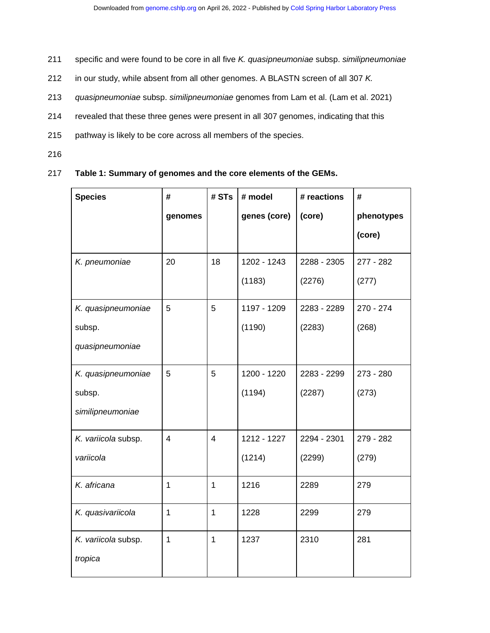- 211 specific and were found to be core in all five *K. quasipneumoniae* subsp. *similipneumoniae*
- 212 in our study, while absent from all other genomes. A BLASTN screen of all 307 *K.*
- 213 *quasipneumoniae* subsp. *similipneumoniae* genomes from Lam et al. (Lam et al. 2021)
- 214 revealed that these three genes were present in all 307 genomes, indicating that this
- 215 pathway is likely to be core across all members of the species.
- 216

## 217 **Table 1: Summary of genomes and the core elements of the GEMs.**

| <b>Species</b>      | #              | # STs          | # model      | # reactions | #           |
|---------------------|----------------|----------------|--------------|-------------|-------------|
|                     | genomes        |                | genes (core) | (core)      | phenotypes  |
|                     |                |                |              |             | (core)      |
| K. pneumoniae       | 20             | 18             | 1202 - 1243  | 2288 - 2305 | 277 - 282   |
|                     |                |                | (1183)       | (2276)      | (277)       |
| K. quasipneumoniae  | 5              | 5              | 1197 - 1209  | 2283 - 2289 | $270 - 274$ |
| subsp.              |                |                | (1190)       | (2283)      | (268)       |
| quasipneumoniae     |                |                |              |             |             |
| K. quasipneumoniae  | 5              | 5              | 1200 - 1220  | 2283 - 2299 | $273 - 280$ |
| subsp.              |                |                | (1194)       | (2287)      | (273)       |
| similipneumoniae    |                |                |              |             |             |
| K. variicola subsp. | $\overline{4}$ | $\overline{4}$ | 1212 - 1227  | 2294 - 2301 | 279 - 282   |
| variicola           |                |                | (1214)       | (2299)      | (279)       |
| K. africana         | $\mathbf{1}$   | $\mathbf{1}$   | 1216         | 2289        | 279         |
| K. quasivariicola   | 1              | $\mathbf{1}$   | 1228         | 2299        | 279         |
| K. variicola subsp. | 1              | $\mathbf{1}$   | 1237         | 2310        | 281         |
| tropica             |                |                |              |             |             |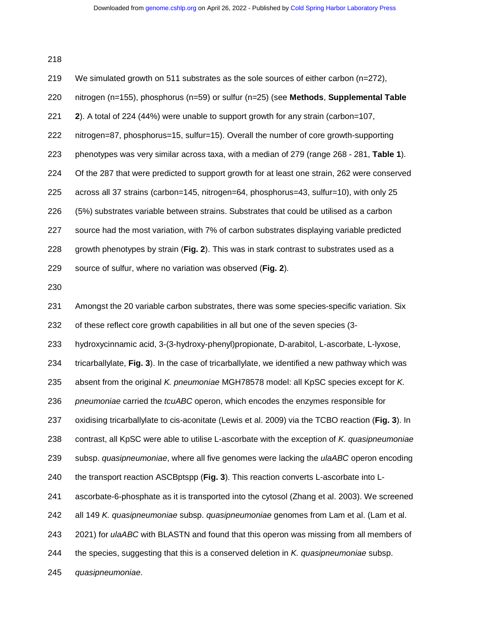218

| 219 | We simulated growth on 511 substrates as the sole sources of either carbon ( $n=272$ ),           |
|-----|---------------------------------------------------------------------------------------------------|
| 220 | nitrogen ( $n=155$ ), phosphorus ( $n=59$ ) or sulfur ( $n=25$ ) (see Methods, Supplemental Table |
| 221 | 2). A total of 224 (44%) were unable to support growth for any strain (carbon=107,                |
| 222 | nitrogen=87, phosphorus=15, sulfur=15). Overall the number of core growth-supporting              |
| 223 | phenotypes was very similar across taxa, with a median of 279 (range 268 - 281, Table 1).         |
| 224 | Of the 287 that were predicted to support growth for at least one strain, 262 were conserved      |
| 225 | across all 37 strains (carbon=145, nitrogen=64, phosphorus=43, sulfur=10), with only 25           |
| 226 | (5%) substrates variable between strains. Substrates that could be utilised as a carbon           |
| 227 | source had the most variation, with 7% of carbon substrates displaying variable predicted         |
| 228 | growth phenotypes by strain (Fig. 2). This was in stark contrast to substrates used as a          |
| 229 | source of sulfur, where no variation was observed (Fig. 2).                                       |
| 230 |                                                                                                   |
| 231 | Amongst the 20 variable carbon substrates, there was some species-specific variation. Six         |
| 232 | of these reflect core growth capabilities in all but one of the seven species (3-                 |
| 233 | hydroxycinnamic acid, 3-(3-hydroxy-phenyl)propionate, D-arabitol, L-ascorbate, L-lyxose,          |
| 234 | tricarballylate, Fig. 3). In the case of tricarballylate, we identified a new pathway which was   |
| 235 | absent from the original K. pneumoniae MGH78578 model: all KpSC species except for K.             |
| 236 | pneumoniae carried the tcuABC operon, which encodes the enzymes responsible for                   |
| 237 | oxidising tricarballylate to cis-aconitate (Lewis et al. 2009) via the TCBO reaction (Fig. 3). In |
| 238 | contrast, all KpSC were able to utilise L-ascorbate with the exception of K. quasipneumoniae      |
| 239 | subsp. quasipneumoniae, where all five genomes were lacking the ulaABC operon encoding            |
| 240 | the transport reaction ASCBptspp (Fig. 3). This reaction converts L-ascorbate into L-             |
| 241 | ascorbate-6-phosphate as it is transported into the cytosol (Zhang et al. 2003). We screened      |
| 242 | all 149 K. quasipneumoniae subsp. quasipneumoniae genomes from Lam et al. (Lam et al.             |
| 243 | 2021) for ulaABC with BLASTN and found that this operon was missing from all members of           |
| 244 | the species, suggesting that this is a conserved deletion in $K$ . quasipneumoniae subsp.         |
| 245 | quasipneumoniae.                                                                                  |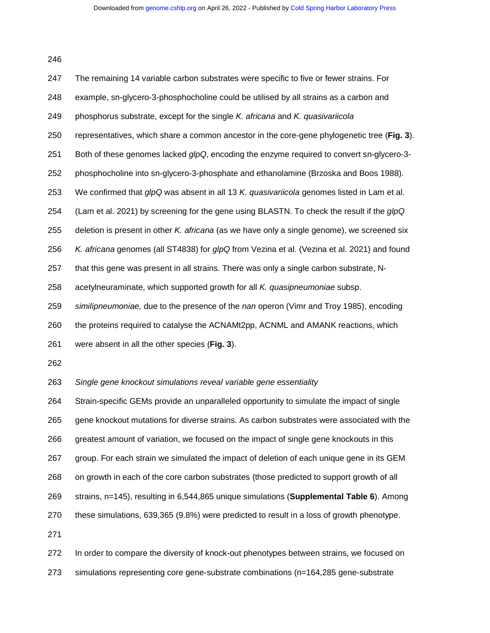246

| 247 | The remaining 14 variable carbon substrates were specific to five or fewer strains. For     |
|-----|---------------------------------------------------------------------------------------------|
| 248 | example, sn-glycero-3-phosphocholine could be utilised by all strains as a carbon and       |
| 249 | phosphorus substrate, except for the single K. africana and K. quasivariicola               |
| 250 | representatives, which share a common ancestor in the core-gene phylogenetic tree (Fig. 3). |
| 251 | Both of these genomes lacked glpQ, encoding the enzyme required to convert sn-glycero-3-    |
| 252 | phosphocholine into sn-glycero-3-phosphate and ethanolamine (Brzoska and Boos 1988).        |
| 253 | We confirmed that glpQ was absent in all 13 K. quasivariicola genomes listed in Lam et al.  |
| 254 | (Lam et al. 2021) by screening for the gene using BLASTN. To check the result if the glpQ   |
| 255 | deletion is present in other K. africana (as we have only a single genome), we screened six |
| 256 | K. africana genomes (all ST4838) for glpQ from Vezina et al. (Vezina et al. 2021) and found |
| 257 | that this gene was present in all strains. There was only a single carbon substrate, N-     |
| 258 | acetylneuraminate, which supported growth for all K. quasipneumoniae subsp.                 |
| 259 | similipneumoniae, due to the presence of the nan operon (Vimr and Troy 1985), encoding      |
| 260 | the proteins required to catalyse the ACNAMt2pp, ACNML and AMANK reactions, which           |
| 261 | were absent in all the other species (Fig. 3).                                              |
| 262 |                                                                                             |
| 263 | Single gene knockout simulations reveal variable gene essentiality                          |
| 264 | Strain-specific GEMs provide an unparalleled opportunity to simulate the impact of single   |
| 265 | gene knockout mutations for diverse strains. As carbon substrates were associated with the  |
| 266 | greatest amount of variation, we focused on the impact of single gene knockouts in this     |
| 267 | group. For each strain we simulated the impact of deletion of each unique gene in its GEM   |
| 268 | on growth in each of the core carbon substrates (those predicted to support growth of all   |
| 269 | strains, n=145), resulting in 6,544,865 unique simulations (Supplemental Table 6). Among    |
| 270 | these simulations, 639,365 (9.8%) were predicted to result in a loss of growth phenotype.   |
| 271 |                                                                                             |
| 272 | In order to compare the diversity of knock-out phenotypes between strains, we focused on    |

273 simulations representing core gene-substrate combinations (n=164,285 gene-substrate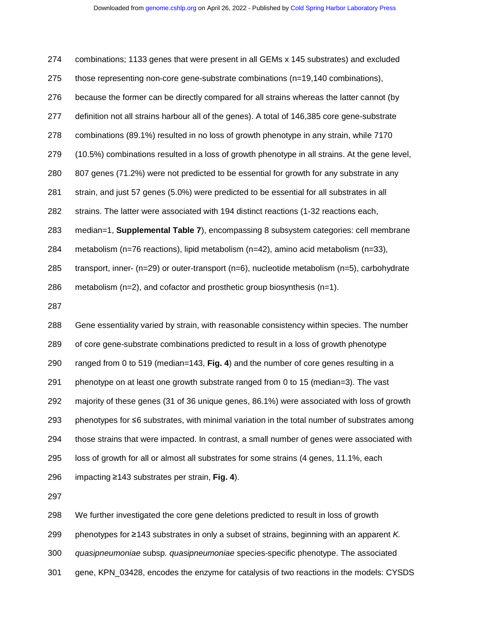274 combinations; 1133 genes that were present in all GEMs x 145 substrates) and excluded 275 those representing non-core gene-substrate combinations (n=19,140 combinations), 276 because the former can be directly compared for all strains whereas the latter cannot (by 277 definition not all strains harbour all of the genes). A total of 146,385 core gene-substrate 278 combinations (89.1%) resulted in no loss of growth phenotype in any strain, while 7170 279 (10.5%) combinations resulted in a loss of growth phenotype in all strains. At the gene level, 280 807 genes (71.2%) were not predicted to be essential for growth for any substrate in any 281 strain, and just 57 genes (5.0%) were predicted to be essential for all substrates in all 282 strains. The latter were associated with 194 distinct reactions (1-32 reactions each, 283 median=1, **Supplemental Table 7**), encompassing 8 subsystem categories: cell membrane 284 metabolism (n=76 reactions), lipid metabolism (n=42), amino acid metabolism (n=33), 285 transport, inner- (n=29) or outer-transport (n=6), nucleotide metabolism (n=5), carbohydrate 286 metabolism  $(n=2)$ , and cofactor and prosthetic group biosynthesis  $(n=1)$ . 287 288 Gene essentiality varied by strain, with reasonable consistency within species. The number 289 of core gene-substrate combinations predicted to result in a loss of growth phenotype 290 ranged from 0 to 519 (median=143, **Fig. 4**) and the number of core genes resulting in a 291 phenotype on at least one growth substrate ranged from 0 to 15 (median=3). The vast 292 majority of these genes (31 of 36 unique genes, 86.1%) were associated with loss of growth 293 phenotypes for ≤6 substrates, with minimal variation in the total number of substrates among 294 those strains that were impacted. In contrast, a small number of genes were associated with

295 loss of growth for all or almost all substrates for some strains (4 genes, 11.1%, each

296 impacting ≥143 substrates per strain, **Fig. 4**).

297

298 We further investigated the core gene deletions predicted to result in loss of growth

299 phenotypes for ≥143 substrates in only a subset of strains, beginning with an apparent *K.* 

300 *quasipneumoniae* subsp*. quasipneumoniae* species-specific phenotype. The associated

301 gene, KPN\_03428, encodes the enzyme for catalysis of two reactions in the models: CYSDS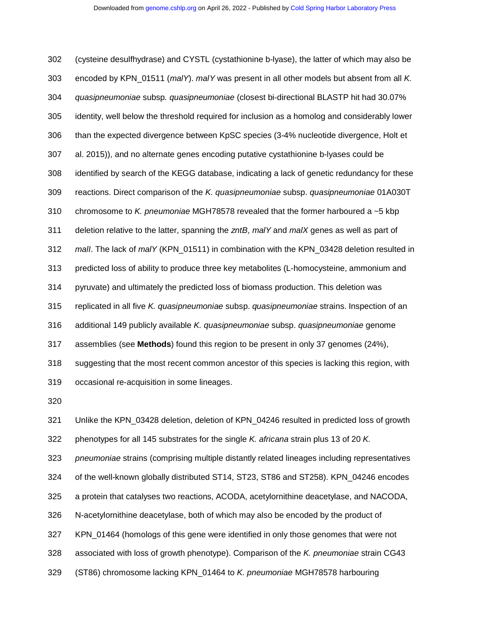302 (cysteine desulfhydrase) and CYSTL (cystathionine b-lyase), the latter of which may also be 303 encoded by KPN\_01511 (*malY*). *malY* was present in all other models but absent from all *K.*  304 *quasipneumoniae* subsp*. quasipneumoniae* (closest bi-directional BLASTP hit had 30.07% 305 identity, well below the threshold required for inclusion as a homolog and considerably lower 306 than the expected divergence between KpSC *s*pecies (3-4% nucleotide divergence, Holt et 307 al. 2015)), and no alternate genes encoding putative cystathionine b-lyases could be 308 identified by search of the KEGG database, indicating a lack of genetic redundancy for these 309 reactions. Direct comparison of the *K. quasipneumoniae* subsp. *quasipneumoniae* 01A030T 310 chromosome to *K. pneumoniae* MGH78578 revealed that the former harboured a ~5 kbp 311 deletion relative to the latter, spanning the *zntB*, *malY* and *malX* genes as well as part of 312 *malI*. The lack of *malY* (KPN\_01511) in combination with the KPN\_03428 deletion resulted in 313 predicted loss of ability to produce three key metabolites (L-homocysteine, ammonium and 314 pyruvate) and ultimately the predicted loss of biomass production. This deletion was 315 replicated in all five *K. quasipneumoniae* subsp. *quasipneumoniae* strains. Inspection of an 316 additional 149 publicly available *K. quasipneumoniae* subsp. *quasipneumoniae* genome 317 assemblies (see **Methods**) found this region to be present in only 37 genomes (24%), 318 suggesting that the most recent common ancestor of this species is lacking this region, with 319 occasional re-acquisition in some lineages. 320 321 Unlike the KPN\_03428 deletion, deletion of KPN\_04246 resulted in predicted loss of growth

322 phenotypes for all 145 substrates for the single *K. africana* strain plus 13 of 20 *K.* 

323 *pneumoniae* strains (comprising multiple distantly related lineages including representatives

324 of the well-known globally distributed ST14, ST23, ST86 and ST258). KPN\_04246 encodes

325 a protein that catalyses two reactions, ACODA, acetylornithine deacetylase, and NACODA,

326 N-acetylornithine deacetylase, both of which may also be encoded by the product of

327 KPN\_01464 (homologs of this gene were identified in only those genomes that were not

328 associated with loss of growth phenotype). Comparison of the *K. pneumoniae* strain CG43

329 (ST86) chromosome lacking KPN\_01464 to *K. pneumoniae* MGH78578 harbouring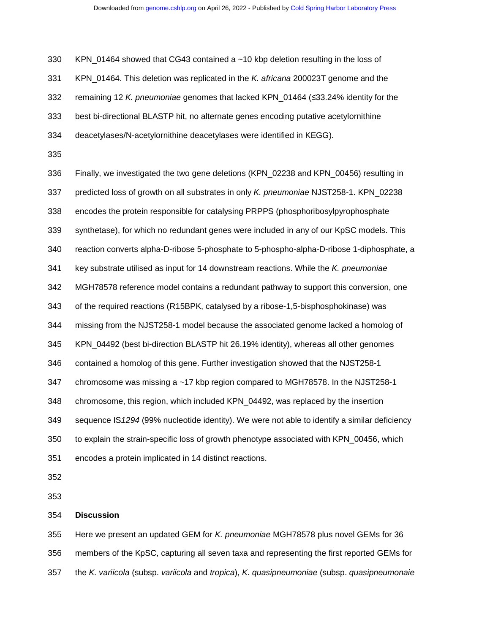330 KPN\_01464 showed that CG43 contained a ~10 kbp deletion resulting in the loss of 331 KPN\_01464. This deletion was replicated in the *K. africana* 200023T genome and the 332 remaining 12 *K. pneumoniae* genomes that lacked KPN\_01464 (≤33.24% identity for the 333 best bi-directional BLASTP hit, no alternate genes encoding putative acetylornithine 334 deacetylases/N-acetylornithine deacetylases were identified in KEGG). 335 336 Finally, we investigated the two gene deletions (KPN\_02238 and KPN\_00456) resulting in 337 predicted loss of growth on all substrates in only *K. pneumoniae* NJST258-1. KPN\_02238 338 encodes the protein responsible for catalysing PRPPS (phosphoribosylpyrophosphate 339 synthetase), for which no redundant genes were included in any of our KpSC models. This 340 reaction converts alpha-D-ribose 5-phosphate to 5-phospho-alpha-D-ribose 1-diphosphate, a 341 key substrate utilised as input for 14 downstream reactions. While the *K. pneumoniae* 342 MGH78578 reference model contains a redundant pathway to support this conversion, one 343 of the required reactions (R15BPK, catalysed by a ribose-1,5-bisphosphokinase) was 344 missing from the NJST258-1 model because the associated genome lacked a homolog of 345 KPN\_04492 (best bi-direction BLASTP hit 26.19% identity), whereas all other genomes 346 contained a homolog of this gene. Further investigation showed that the NJST258-1 347 chromosome was missing a ~17 kbp region compared to MGH78578. In the NJST258-1 348 chromosome, this region, which included KPN\_04492, was replaced by the insertion 349 sequence IS*1294* (99% nucleotide identity). We were not able to identify a similar deficiency 350 to explain the strain-specific loss of growth phenotype associated with KPN\_00456, which 351 encodes a protein implicated in 14 distinct reactions. 352

353

354 **Discussion**

355 Here we present an updated GEM for *K. pneumoniae* MGH78578 plus novel GEMs for 36 356 members of the KpSC, capturing all seven taxa and representing the first reported GEMs for 357 the *K. variicola* (subsp. *variicola* and *tropica*), *K. quasipneumoniae* (subsp. *quasipneumonaie*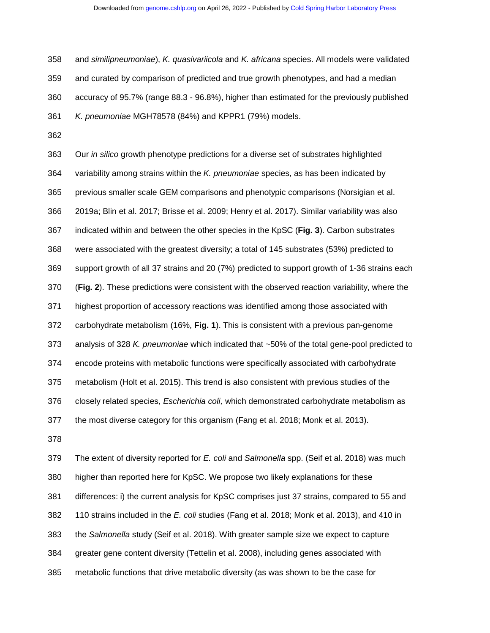358 and *similipneumoniae*), *K. quasivariicola* and *K. africana* species. All models were validated 359 and curated by comparison of predicted and true growth phenotypes, and had a median 360 accuracy of 95.7% (range 88.3 - 96.8%), higher than estimated for the previously published 361 *K. pneumoniae* MGH78578 (84%) and KPPR1 (79%) models.

362

363 Our *in silico* growth phenotype predictions for a diverse set of substrates highlighted 364 variability among strains within the *K. pneumoniae* species, as has been indicated by 365 previous smaller scale GEM comparisons and phenotypic comparisons (Norsigian et al. 366 2019a; Blin et al. 2017; Brisse et al. 2009; Henry et al. 2017). Similar variability was also 367 indicated within and between the other species in the KpSC (**Fig. 3**). Carbon substrates 368 were associated with the greatest diversity; a total of 145 substrates (53%) predicted to 369 support growth of all 37 strains and 20 (7%) predicted to support growth of 1-36 strains each 370 (**Fig. 2**). These predictions were consistent with the observed reaction variability, where the 371 highest proportion of accessory reactions was identified among those associated with 372 carbohydrate metabolism (16%, **Fig. 1**). This is consistent with a previous pan-genome 373 analysis of 328 *K. pneumoniae* which indicated that ~50% of the total gene-pool predicted to 374 encode proteins with metabolic functions were specifically associated with carbohydrate 375 metabolism (Holt et al. 2015). This trend is also consistent with previous studies of the 376 closely related species, *Escherichia coli,* which demonstrated carbohydrate metabolism as 377 the most diverse category for this organism (Fang et al. 2018; Monk et al. 2013).

378

379 The extent of diversity reported for *E. coli* and *Salmonella* spp. (Seif et al. 2018) was much 380 higher than reported here for KpSC. We propose two likely explanations for these 381 differences: i) the current analysis for KpSC comprises just 37 strains, compared to 55 and 382 110 strains included in the *E. coli* studies (Fang et al. 2018; Monk et al. 2013), and 410 in 383 the *Salmonella* study (Seif et al. 2018). With greater sample size we expect to capture 384 greater gene content diversity (Tettelin et al. 2008), including genes associated with 385 metabolic functions that drive metabolic diversity (as was shown to be the case for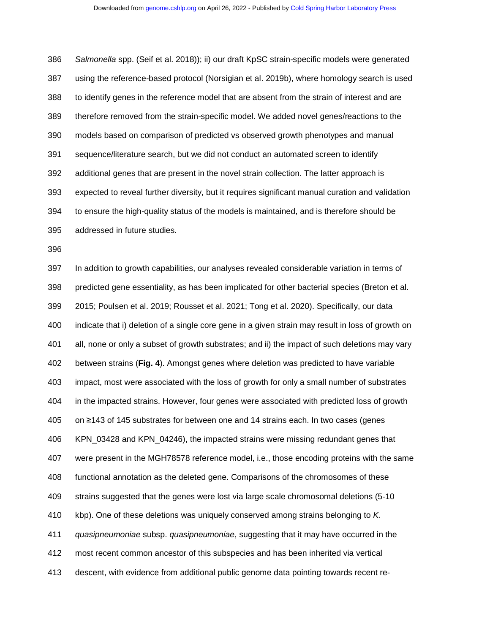386 *Salmonella* spp. (Seif et al. 2018)); ii) our draft KpSC strain-specific models were generated 387 using the reference-based protocol (Norsigian et al. 2019b), where homology search is used 388 to identify genes in the reference model that are absent from the strain of interest and are 389 therefore removed from the strain-specific model. We added novel genes/reactions to the 390 models based on comparison of predicted vs observed growth phenotypes and manual 391 sequence/literature search, but we did not conduct an automated screen to identify 392 additional genes that are present in the novel strain collection. The latter approach is 393 expected to reveal further diversity, but it requires significant manual curation and validation 394 to ensure the high-quality status of the models is maintained, and is therefore should be 395 addressed in future studies.

396

397 In addition to growth capabilities, our analyses revealed considerable variation in terms of 398 predicted gene essentiality, as has been implicated for other bacterial species (Breton et al. 399 2015; Poulsen et al. 2019; Rousset et al. 2021; Tong et al. 2020). Specifically, our data 400 indicate that i) deletion of a single core gene in a given strain may result in loss of growth on 401 all, none or only a subset of growth substrates; and ii) the impact of such deletions may vary 402 between strains (**Fig. 4**). Amongst genes where deletion was predicted to have variable 403 impact, most were associated with the loss of growth for only a small number of substrates 404 in the impacted strains. However, four genes were associated with predicted loss of growth 405 on ≥143 of 145 substrates for between one and 14 strains each. In two cases (genes 406 KPN\_03428 and KPN\_04246), the impacted strains were missing redundant genes that 407 were present in the MGH78578 reference model, i.e., those encoding proteins with the same 408 functional annotation as the deleted gene. Comparisons of the chromosomes of these 409 strains suggested that the genes were lost via large scale chromosomal deletions (5-10 410 kbp). One of these deletions was uniquely conserved among strains belonging to *K.*  411 *quasipneumoniae* subsp. *quasipneumoniae*, suggesting that it may have occurred in the 412 most recent common ancestor of this subspecies and has been inherited via vertical 413 descent, with evidence from additional public genome data pointing towards recent re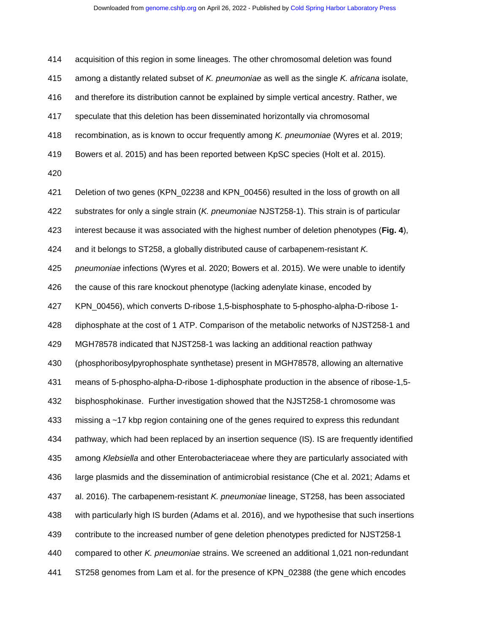414 acquisition of this region in some lineages. The other chromosomal deletion was found 415 among a distantly related subset of *K. pneumoniae* as well as the single *K. africana* isolate, 416 and therefore its distribution cannot be explained by simple vertical ancestry. Rather, we 417 speculate that this deletion has been disseminated horizontally via chromosomal 418 recombination, as is known to occur frequently among *K. pneumoniae* (Wyres et al. 2019; 419 Bowers et al. 2015) and has been reported between KpSC species (Holt et al. 2015). 420 421 Deletion of two genes (KPN\_02238 and KPN\_00456) resulted in the loss of growth on all 422 substrates for only a single strain (*K. pneumoniae* NJST258-1). This strain is of particular 423 interest because it was associated with the highest number of deletion phenotypes (**Fig. 4**), 424 and it belongs to ST258, a globally distributed cause of carbapenem-resistant *K.*  425 *pneumoniae* infections (Wyres et al. 2020; Bowers et al. 2015). We were unable to identify 426 the cause of this rare knockout phenotype (lacking adenylate kinase, encoded by 427 KPN\_00456), which converts D-ribose 1,5-bisphosphate to 5-phospho-alpha-D-ribose 1- 428 diphosphate at the cost of 1 ATP. Comparison of the metabolic networks of NJST258-1 and 429 MGH78578 indicated that NJST258-1 was lacking an additional reaction pathway 430 (phosphoribosylpyrophosphate synthetase) present in MGH78578, allowing an alternative 431 means of 5-phospho-alpha-D-ribose 1-diphosphate production in the absence of ribose-1,5- 432 bisphosphokinase. Further investigation showed that the NJST258-1 chromosome was 433 missing a ~17 kbp region containing one of the genes required to express this redundant 434 pathway, which had been replaced by an insertion sequence (IS). IS are frequently identified 435 among *Klebsiella* and other Enterobacteriaceae where they are particularly associated with 436 large plasmids and the dissemination of antimicrobial resistance (Che et al. 2021; Adams et 437 al. 2016). The carbapenem-resistant *K. pneumoniae* lineage, ST258, has been associated 438 with particularly high IS burden (Adams et al. 2016), and we hypothesise that such insertions 439 contribute to the increased number of gene deletion phenotypes predicted for NJST258-1 440 compared to other *K. pneumoniae* strains. We screened an additional 1,021 non-redundant 441 ST258 genomes from Lam et al. for the presence of KPN\_02388 (the gene which encodes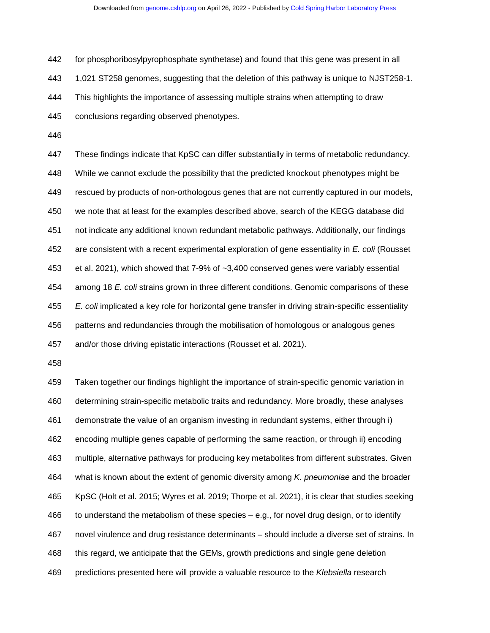442 for phosphoribosylpyrophosphate synthetase) and found that this gene was present in all 443 1,021 ST258 genomes, suggesting that the deletion of this pathway is unique to NJST258-1. 444 This highlights the importance of assessing multiple strains when attempting to draw 445 conclusions regarding observed phenotypes.

446

447 These findings indicate that KpSC can differ substantially in terms of metabolic redundancy. 448 While we cannot exclude the possibility that the predicted knockout phenotypes might be 449 rescued by products of non-orthologous genes that are not currently captured in our models, 450 we note that at least for the examples described above, search of the KEGG database did 451 not indicate any additional known redundant metabolic pathways. Additionally, our findings 452 are consistent with a recent experimental exploration of gene essentiality in *E. coli* (Rousset 453 et al. 2021), which showed that 7-9% of ~3,400 conserved genes were variably essential 454 among 18 *E. coli* strains grown in three different conditions. Genomic comparisons of these 455 *E. coli* implicated a key role for horizontal gene transfer in driving strain-specific essentiality 456 patterns and redundancies through the mobilisation of homologous or analogous genes 457 and/or those driving epistatic interactions (Rousset et al. 2021).

458

459 Taken together our findings highlight the importance of strain-specific genomic variation in 460 determining strain-specific metabolic traits and redundancy. More broadly, these analyses 461 demonstrate the value of an organism investing in redundant systems, either through i) 462 encoding multiple genes capable of performing the same reaction, or through ii) encoding 463 multiple, alternative pathways for producing key metabolites from different substrates. Given 464 what is known about the extent of genomic diversity among *K. pneumoniae* and the broader 465 KpSC (Holt et al. 2015; Wyres et al. 2019; Thorpe et al. 2021), it is clear that studies seeking 466 to understand the metabolism of these species – e.g., for novel drug design, or to identify 467 novel virulence and drug resistance determinants – should include a diverse set of strains. In 468 this regard, we anticipate that the GEMs, growth predictions and single gene deletion 469 predictions presented here will provide a valuable resource to the *Klebsiella* research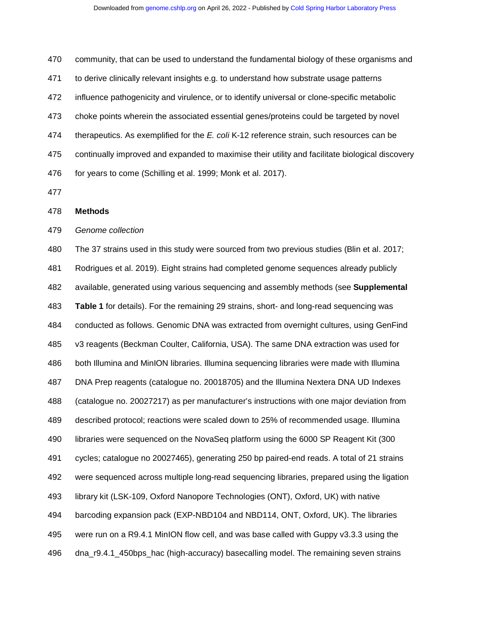470 community, that can be used to understand the fundamental biology of these organisms and 471 to derive clinically relevant insights e.g. to understand how substrate usage patterns 472 influence pathogenicity and virulence, or to identify universal or clone-specific metabolic 473 choke points wherein the associated essential genes/proteins could be targeted by novel 474 therapeutics. As exemplified for the *E. coli* K-12 reference strain, such resources can be 475 continually improved and expanded to maximise their utility and facilitate biological discovery 476 for years to come (Schilling et al. 1999; Monk et al. 2017).

477

478 **Methods** 

479 *Genome collection* 

480 The 37 strains used in this study were sourced from two previous studies (Blin et al. 2017; 481 Rodrigues et al. 2019). Eight strains had completed genome sequences already publicly 482 available, generated using various sequencing and assembly methods (see **Supplemental**  483 **Table 1** for details). For the remaining 29 strains, short- and long-read sequencing was 484 conducted as follows. Genomic DNA was extracted from overnight cultures, using GenFind 485 v3 reagents (Beckman Coulter, California, USA). The same DNA extraction was used for 486 both Illumina and MinION libraries. Illumina sequencing libraries were made with Illumina 487 DNA Prep reagents (catalogue no. 20018705) and the Illumina Nextera DNA UD Indexes 488 (catalogue no. 20027217) as per manufacturer's instructions with one major deviation from 489 described protocol; reactions were scaled down to 25% of recommended usage. Illumina 490 libraries were sequenced on the NovaSeq platform using the 6000 SP Reagent Kit (300 491 cycles; catalogue no 20027465), generating 250 bp paired-end reads. A total of 21 strains 492 were sequenced across multiple long-read sequencing libraries, prepared using the ligation 493 library kit (LSK-109, Oxford Nanopore Technologies (ONT), Oxford, UK) with native 494 barcoding expansion pack (EXP-NBD104 and NBD114, ONT, Oxford, UK). The libraries 495 were run on a R9.4.1 MinION flow cell, and was base called with Guppy v3.3.3 using the 496 dna\_r9.4.1\_450bps\_hac (high-accuracy) basecalling model. The remaining seven strains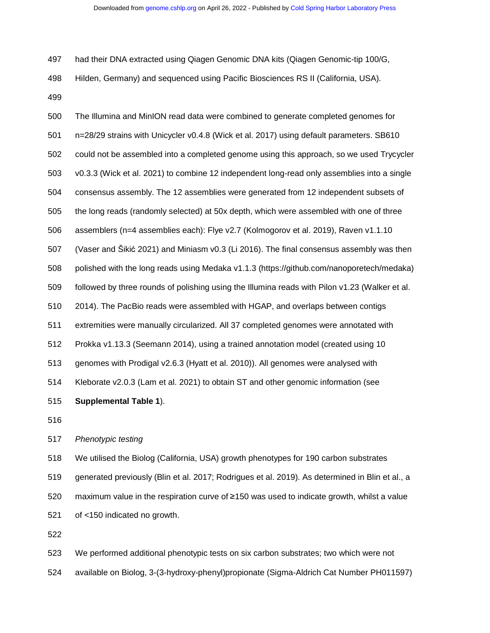497 had their DNA extracted using Qiagen Genomic DNA kits (Qiagen Genomic-tip 100/G,

498 Hilden, Germany) and sequenced using Pacific Biosciences RS II (California, USA).

499

500 The Illumina and MinION read data were combined to generate completed genomes for 501 n=28/29 strains with Unicycler v0.4.8 (Wick et al. 2017) using default parameters. SB610 502 could not be assembled into a completed genome using this approach, so we used Trycycler 503 v0.3.3 (Wick et al. 2021) to combine 12 independent long-read only assemblies into a single 504 consensus assembly. The 12 assemblies were generated from 12 independent subsets of 505 the long reads (randomly selected) at 50x depth, which were assembled with one of three 506 assemblers (n=4 assemblies each): Flye v2.7 (Kolmogorov et al. 2019), Raven v1.1.10 507 (Vaser and Šikić 2021) and Miniasm v0.3 (Li 2016). The final consensus assembly was then 508 polished with the long reads using Medaka v1.1.3 (https://github.com/nanoporetech/medaka) 509 followed by three rounds of polishing using the Illumina reads with Pilon v1.23 (Walker et al. 510 2014). The PacBio reads were assembled with HGAP, and overlaps between contigs 511 extremities were manually circularized. All 37 completed genomes were annotated with 512 Prokka v1.13.3 (Seemann 2014), using a trained annotation model (created using 10 513 genomes with Prodigal v2.6.3 (Hyatt et al. 2010)). All genomes were analysed with 514 Kleborate v2.0.3 (Lam et al. 2021) to obtain ST and other genomic information (see 515 **Supplemental Table 1**). 516

## 517 *Phenotypic testing*

518 We utilised the Biolog (California, USA) growth phenotypes for 190 carbon substrates

519 generated previously (Blin et al. 2017; Rodrigues et al. 2019). As determined in Blin et al., a 520 maximum value in the respiration curve of ≥150 was used to indicate growth, whilst a value 521 of <150 indicated no growth.

522

523 We performed additional phenotypic tests on six carbon substrates; two which were not 524 available on Biolog, 3-(3-hydroxy-phenyl)propionate (Sigma-Aldrich Cat Number PH011597)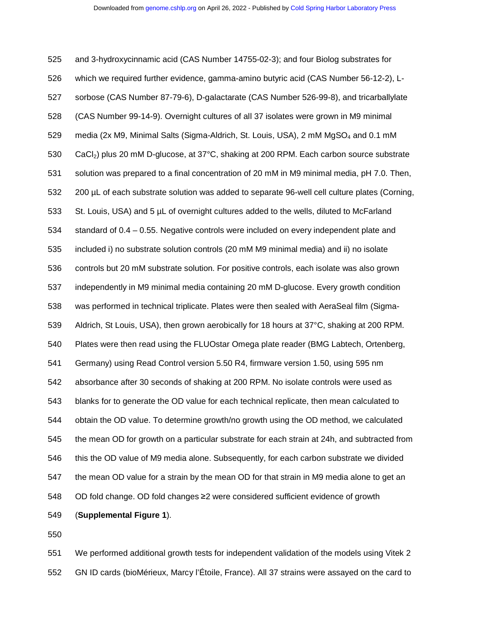525 and 3-hydroxycinnamic acid (CAS Number 14755-02-3); and four Biolog substrates for 526 which we required further evidence, gamma-amino butyric acid (CAS Number 56-12-2), L-527 sorbose (CAS Number 87-79-6), D-galactarate (CAS Number 526-99-8), and tricarballylate 528 (CAS Number 99-14-9). Overnight cultures of all 37 isolates were grown in M9 minimal 529 media (2x M9, Minimal Salts (Sigma-Aldrich, St. Louis, USA), 2 mM MgSO<sub>4</sub> and 0.1 mM 530 CaCl<sub>2</sub>) plus 20 mM D-glucose, at 37°C, shaking at 200 RPM. Each carbon source substrate 531 solution was prepared to a final concentration of 20 mM in M9 minimal media, pH 7.0. Then, 532 200 µL of each substrate solution was added to separate 96-well cell culture plates (Corning, 533 St. Louis, USA) and 5 µL of overnight cultures added to the wells, diluted to McFarland 534 standard of 0.4 – 0.55. Negative controls were included on every independent plate and 535 included i) no substrate solution controls (20 mM M9 minimal media) and ii) no isolate 536 controls but 20 mM substrate solution. For positive controls, each isolate was also grown 537 independently in M9 minimal media containing 20 mM D-glucose. Every growth condition 538 was performed in technical triplicate. Plates were then sealed with AeraSeal film (Sigma-539 Aldrich, St Louis, USA), then grown aerobically for 18 hours at 37°C, shaking at 200 RPM. 540 Plates were then read using the FLUOstar Omega plate reader (BMG Labtech, Ortenberg, 541 Germany) using Read Control version 5.50 R4, firmware version 1.50, using 595 nm 542 absorbance after 30 seconds of shaking at 200 RPM. No isolate controls were used as 543 blanks for to generate the OD value for each technical replicate, then mean calculated to 544 obtain the OD value. To determine growth/no growth using the OD method, we calculated 545 the mean OD for growth on a particular substrate for each strain at 24h, and subtracted from 546 this the OD value of M9 media alone. Subsequently, for each carbon substrate we divided 547 the mean OD value for a strain by the mean OD for that strain in M9 media alone to get an 548 OD fold change. OD fold changes ≥2 were considered sufficient evidence of growth 549 (**Supplemental Figure 1**).

550

551 We performed additional growth tests for independent validation of the models using Vitek 2 552 GN ID cards (bioMérieux, Marcy l'Étoile, France). All 37 strains were assayed on the card to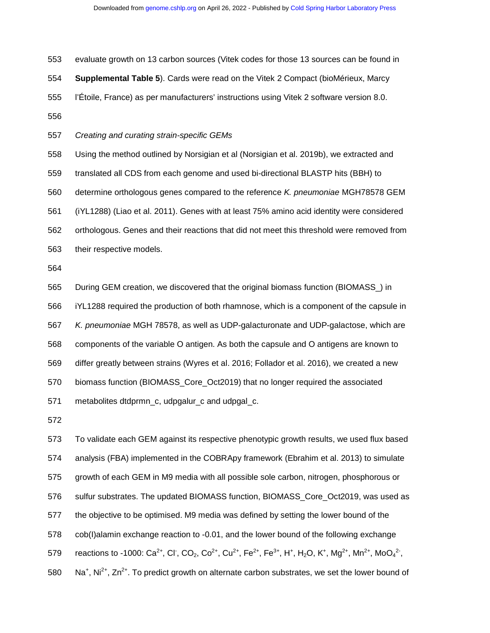553 evaluate growth on 13 carbon sources (Vitek codes for those 13 sources can be found in

554 **Supplemental Table 5**). Cards were read on the Vitek 2 Compact (bioMérieux, Marcy

555 l'Étoile, France) as per manufacturers' instructions using Vitek 2 software version 8.0.

556

557 *Creating and curating strain-specific GEMs* 

558 Using the method outlined by Norsigian et al (Norsigian et al. 2019b), we extracted and

559 translated all CDS from each genome and used bi-directional BLASTP hits (BBH) to

560 determine orthologous genes compared to the reference *K. pneumoniae* MGH78578 GEM

561 (iYL1288) (Liao et al. 2011). Genes with at least 75% amino acid identity were considered

562 orthologous. Genes and their reactions that did not meet this threshold were removed from 563 their respective models.

564

565 During GEM creation, we discovered that the original biomass function (BIOMASS\_) in 566 iYL1288 required the production of both rhamnose, which is a component of the capsule in 567 *K. pneumoniae* MGH 78578, as well as UDP-galacturonate and UDP-galactose, which are 568 components of the variable O antigen. As both the capsule and O antigens are known to 569 differ greatly between strains (Wyres et al. 2016; Follador et al. 2016), we created a new 570 biomass function (BIOMASS\_Core\_Oct2019) that no longer required the associated 571 metabolites dtdprmn\_c, udpgalur\_c and udpgal\_c.

572

573 To validate each GEM against its respective phenotypic growth results, we used flux based 574 analysis (FBA) implemented in the COBRApy framework (Ebrahim et al. 2013) to simulate 575 growth of each GEM in M9 media with all possible sole carbon, nitrogen, phosphorous or 576 sulfur substrates. The updated BIOMASS function, BIOMASS\_Core\_Oct2019, was used as 577 the objective to be optimised. M9 media was defined by setting the lower bound of the 578 cob(I)alamin exchange reaction to -0.01, and the lower bound of the following exchange 579 reactions to -1000: Ca<sup>2+</sup>, Cl<sup>-</sup>, CO<sub>2</sub>, Co<sup>2+</sup>, Cu<sup>2+</sup>, Fe<sup>2+</sup>, Fe<sup>3+</sup>, H<sup>+</sup>, H<sub>2</sub>O, K<sup>+</sup>, Mg<sup>2+</sup>, Mn<sup>2+</sup>, MoO<sub>4</sub><sup>2-</sup>,

580 Na<sup>+</sup>, Ni<sup>2+</sup>, Zn<sup>2+</sup>. To predict growth on alternate carbon substrates, we set the lower bound of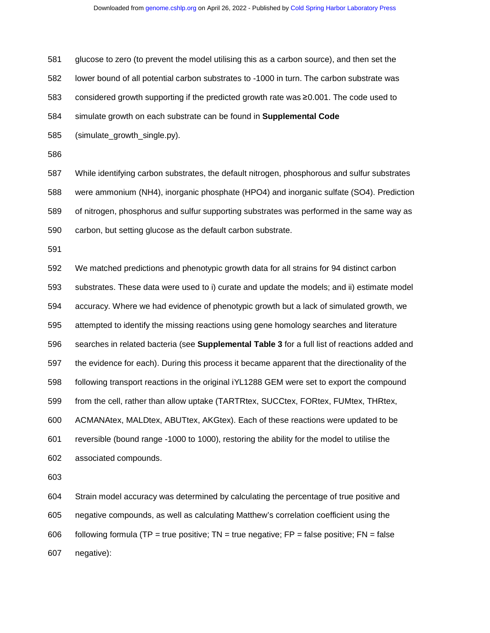581 glucose to zero (to prevent the model utilising this as a carbon source), and then set the 582 lower bound of all potential carbon substrates to -1000 in turn. The carbon substrate was 583 considered growth supporting if the predicted growth rate was ≥0.001. The code used to 584 simulate growth on each substrate can be found in **Supplemental Code**  585 (simulate\_growth\_single.py). 586 587 While identifying carbon substrates, the default nitrogen, phosphorous and sulfur substrates 588 were ammonium (NH4), inorganic phosphate (HPO4) and inorganic sulfate (SO4). Prediction 589 of nitrogen, phosphorus and sulfur supporting substrates was performed in the same way as

590 carbon, but setting glucose as the default carbon substrate.

591

592 We matched predictions and phenotypic growth data for all strains for 94 distinct carbon 593 substrates. These data were used to i) curate and update the models; and ii) estimate model 594 accuracy. Where we had evidence of phenotypic growth but a lack of simulated growth, we 595 attempted to identify the missing reactions using gene homology searches and literature 596 searches in related bacteria (see **Supplemental Table 3** for a full list of reactions added and 597 the evidence for each). During this process it became apparent that the directionality of the 598 following transport reactions in the original iYL1288 GEM were set to export the compound 599 from the cell, rather than allow uptake (TARTRtex, SUCCtex, FORtex, FUMtex, THRtex, 600 ACMANAtex, MALDtex, ABUTtex, AKGtex). Each of these reactions were updated to be 601 reversible (bound range -1000 to 1000), restoring the ability for the model to utilise the 602 associated compounds. 603

604 Strain model accuracy was determined by calculating the percentage of true positive and 605 negative compounds, as well as calculating Matthew's correlation coefficient using the 606 following formula (TP = true positive; TN = true negative; FP = false positive; FN = false 607 negative):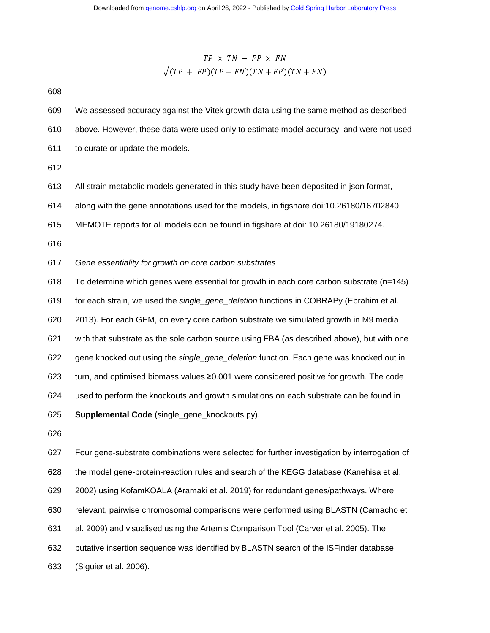$$
\frac{TP \times TN - FP \times FN}{\sqrt{(TP + FP)(TP + FN)(TN + FP)(TN + FN)}}
$$

608

609 We assessed accuracy against the Vitek growth data using the same method as described 610 above. However, these data were used only to estimate model accuracy, and were not used 611 to curate or update the models. 612 613 All strain metabolic models generated in this study have been deposited in json format, 614 along with the gene annotations used for the models, in figshare doi:10.26180/16702840. 615 MEMOTE reports for all models can be found in figshare at doi: 10.26180/19180274. 616 617 *Gene essentiality for growth on core carbon substrates* 618 To determine which genes were essential for growth in each core carbon substrate (n=145) 619 for each strain, we used the *single\_gene\_deletion* functions in COBRAPy (Ebrahim et al. 620 2013). For each GEM, on every core carbon substrate we simulated growth in M9 media 621 with that substrate as the sole carbon source using FBA (as described above), but with one 622 gene knocked out using the *single\_gene\_deletion* function. Each gene was knocked out in 623 turn, and optimised biomass values ≥0.001 were considered positive for growth. The code 624 used to perform the knockouts and growth simulations on each substrate can be found in 625 **Supplemental Code** (single\_gene\_knockouts.py). 626 627 Four gene-substrate combinations were selected for further investigation by interrogation of 628 the model gene-protein-reaction rules and search of the KEGG database (Kanehisa et al. 629 2002) using KofamKOALA (Aramaki et al. 2019) for redundant genes/pathways. Where 630 relevant, pairwise chromosomal comparisons were performed using BLASTN (Camacho et 631 al. 2009) and visualised using the Artemis Comparison Tool (Carver et al. 2005). The 632 putative insertion sequence was identified by BLASTN search of the ISFinder database 633 (Siguier et al. 2006).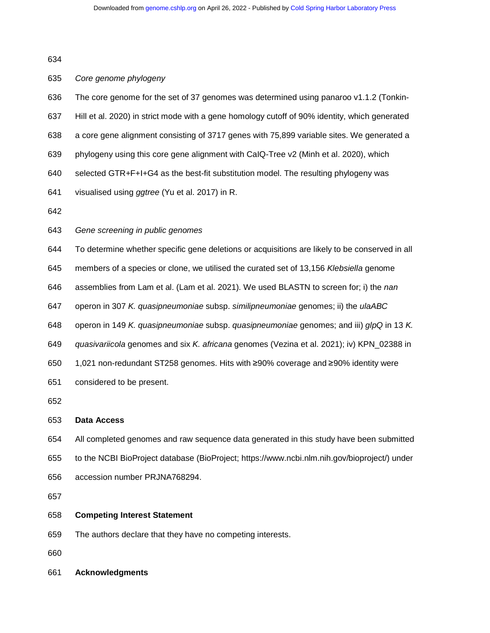634

# 635 *Core genome phylogeny*

| 636 | The core genome for the set of 37 genomes was determined using panaroo v1.1.2 (Tonkin-         |
|-----|------------------------------------------------------------------------------------------------|
| 637 | Hill et al. 2020) in strict mode with a gene homology cutoff of 90% identity, which generated  |
| 638 | a core gene alignment consisting of 3717 genes with 75,899 variable sites. We generated a      |
| 639 | phylogeny using this core gene alignment with CaIQ-Tree v2 (Minh et al. 2020), which           |
| 640 | selected GTR+F+I+G4 as the best-fit substitution model. The resulting phylogeny was            |
| 641 | visualised using <i>ggtree</i> (Yu et al. 2017) in R.                                          |
| 642 |                                                                                                |
| 643 | Gene screening in public genomes                                                               |
| 644 | To determine whether specific gene deletions or acquisitions are likely to be conserved in all |
| 645 | members of a species or clone, we utilised the curated set of 13,156 Klebsiella genome         |
| 646 | assemblies from Lam et al. (Lam et al. 2021). We used BLASTN to screen for; i) the nan         |
| 647 | operon in 307 K. quasipneumoniae subsp. similipneumoniae genomes; ii) the ulaABC               |
| 648 | operon in 149 K. quasipneumoniae subsp. quasipneumoniae genomes; and iii) glpQ in 13 K.        |
| 649 | quasivariicola genomes and six K. africana genomes (Vezina et al. 2021); iv) KPN_02388 in      |
| 650 | 1,021 non-redundant ST258 genomes. Hits with ≥90% coverage and ≥90% identity were              |
| 651 | considered to be present.                                                                      |
| 652 |                                                                                                |
| 653 | Data Access                                                                                    |

654 All completed genomes and raw sequence data generated in this study have been submitted 655 to the NCBI BioProject database (BioProject; https://www.ncbi.nlm.nih.gov/bioproject/) under 656 accession number PRJNA768294.

657

# 658 **Competing Interest Statement**

659 The authors declare that they have no competing interests.

660

661 **Acknowledgments**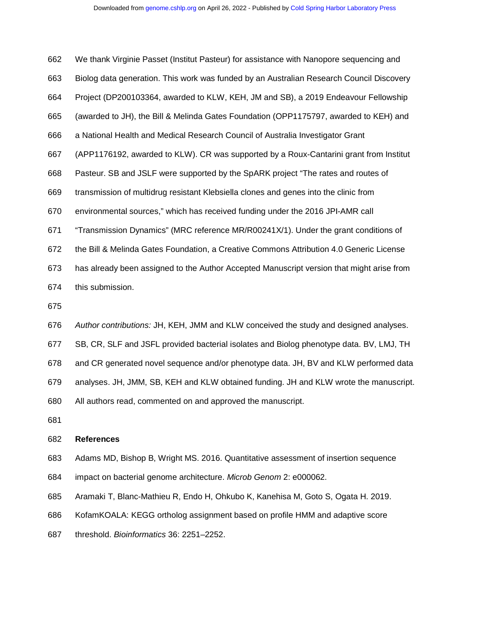| 662 | We thank Virginie Passet (Institut Pasteur) for assistance with Nanopore sequencing and   |
|-----|-------------------------------------------------------------------------------------------|
| 663 | Biolog data generation. This work was funded by an Australian Research Council Discovery  |
| 664 | Project (DP200103364, awarded to KLW, KEH, JM and SB), a 2019 Endeavour Fellowship        |
| 665 | (awarded to JH), the Bill & Melinda Gates Foundation (OPP1175797, awarded to KEH) and     |
| 666 | a National Health and Medical Research Council of Australia Investigator Grant            |
| 667 | (APP1176192, awarded to KLW). CR was supported by a Roux-Cantarini grant from Institut    |
| 668 | Pasteur. SB and JSLF were supported by the SpARK project "The rates and routes of         |
| 669 | transmission of multidrug resistant Klebsiella clones and genes into the clinic from      |
| 670 | environmental sources," which has received funding under the 2016 JPI-AMR call            |
| 671 | "Transmission Dynamics" (MRC reference MR/R00241X/1). Under the grant conditions of       |
| 672 | the Bill & Melinda Gates Foundation, a Creative Commons Attribution 4.0 Generic License   |
| 673 | has already been assigned to the Author Accepted Manuscript version that might arise from |
| 674 | this submission.                                                                          |
| 675 |                                                                                           |

- 675
- 676 *Author contributions:* JH, KEH, JMM and KLW conceived the study and designed analyses.
- 677 SB, CR, SLF and JSFL provided bacterial isolates and Biolog phenotype data. BV, LMJ, TH
- 678 and CR generated novel sequence and/or phenotype data. JH, BV and KLW performed data
- 679 analyses. JH, JMM, SB, KEH and KLW obtained funding. JH and KLW wrote the manuscript.
- 680 All authors read, commented on and approved the manuscript.
- 681

## 682 **References**

- 683 Adams MD, Bishop B, Wright MS. 2016. Quantitative assessment of insertion sequence
- 684 impact on bacterial genome architecture. *Microb Genom* 2: e000062.
- 685 Aramaki T, Blanc-Mathieu R, Endo H, Ohkubo K, Kanehisa M, Goto S, Ogata H. 2019.
- 686 KofamKOALA: KEGG ortholog assignment based on profile HMM and adaptive score
- 687 threshold. *Bioinformatics* 36: 2251–2252.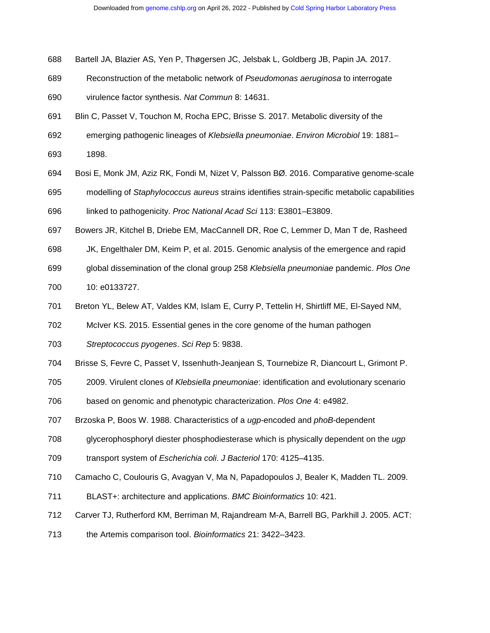- 688 Bartell JA, Blazier AS, Yen P, Thøgersen JC, Jelsbak L, Goldberg JB, Papin JA. 2017.
- 689 Reconstruction of the metabolic network of *Pseudomonas aeruginosa* to interrogate
- 690 virulence factor synthesis. *Nat Commun* 8: 14631.
- 691 Blin C, Passet V, Touchon M, Rocha EPC, Brisse S. 2017. Metabolic diversity of the
- 692 emerging pathogenic lineages of *Klebsiella pneumoniae*. *Environ Microbiol* 19: 1881–
- 693 1898.
- 694 Bosi E, Monk JM, Aziz RK, Fondi M, Nizet V, Palsson BØ. 2016. Comparative genome-scale 695 modelling of *Staphylococcus aureus* strains identifies strain-specific metabolic capabilities 696 linked to pathogenicity. *Proc National Acad Sci* 113: E3801–E3809.
- 697 Bowers JR, Kitchel B, Driebe EM, MacCannell DR, Roe C, Lemmer D, Man T de, Rasheed
- 698 JK, Engelthaler DM, Keim P, et al. 2015. Genomic analysis of the emergence and rapid
- 699 global dissemination of the clonal group 258 *Klebsiella pneumoniae* pandemic. *Plos One*
- 700 10: e0133727.
- 701 Breton YL, Belew AT, Valdes KM, Islam E, Curry P, Tettelin H, Shirtliff ME, El-Sayed NM,
- 702 McIver KS. 2015. Essential genes in the core genome of the human pathogen
- 703 *Streptococcus pyogenes*. *Sci Rep* 5: 9838.
- 704 Brisse S, Fevre C, Passet V, Issenhuth-Jeanjean S, Tournebize R, Diancourt L, Grimont P.
- 705 2009. Virulent clones of *Klebsiella pneumoniae*: identification and evolutionary scenario
- 706 based on genomic and phenotypic characterization. *Plos One* 4: e4982.
- 707 Brzoska P, Boos W. 1988. Characteristics of a *ugp*-encoded and *phoB*-dependent
- 708 glycerophosphoryl diester phosphodiesterase which is physically dependent on the *ugp*
- 709 transport system of *Escherichia coli*. *J Bacteriol* 170: 4125–4135.
- 710 Camacho C, Coulouris G, Avagyan V, Ma N, Papadopoulos J, Bealer K, Madden TL. 2009.
- 711 BLAST+: architecture and applications. *BMC Bioinformatics* 10: 421.
- 712 Carver TJ, Rutherford KM, Berriman M, Rajandream M-A, Barrell BG, Parkhill J. 2005. ACT:
- 713 the Artemis comparison tool. *Bioinformatics* 21: 3422–3423.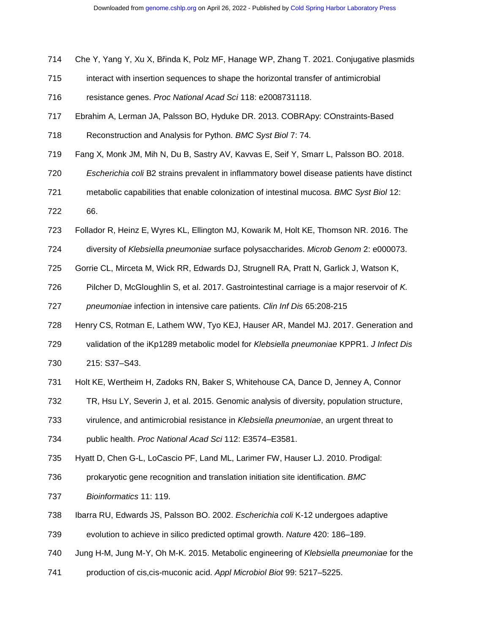- 714 Che Y, Yang Y, Xu X, Břinda K, Polz MF, Hanage WP, Zhang T. 2021. Conjugative plasmids
- 715 interact with insertion sequences to shape the horizontal transfer of antimicrobial
- 716 resistance genes. *Proc National Acad Sci* 118: e2008731118.
- 717 Ebrahim A, Lerman JA, Palsson BO, Hyduke DR. 2013. COBRApy: COnstraints-Based
- 718 Reconstruction and Analysis for Python. *BMC Syst Biol* 7: 74.
- 719 Fang X, Monk JM, Mih N, Du B, Sastry AV, Kavvas E, Seif Y, Smarr L, Palsson BO. 2018.
- 720 *Escherichia coli* B2 strains prevalent in inflammatory bowel disease patients have distinct
- 721 metabolic capabilities that enable colonization of intestinal mucosa. *BMC Syst Biol* 12:
- 722 66.
- 723 Follador R, Heinz E, Wyres KL, Ellington MJ, Kowarik M, Holt KE, Thomson NR. 2016. The
- 724 diversity of *Klebsiella pneumoniae* surface polysaccharides. *Microb Genom* 2: e000073.
- 725 Gorrie CL, Mirceta M, Wick RR, Edwards DJ, Strugnell RA, Pratt N, Garlick J, Watson K,
- 726 Pilcher D, McGloughlin S, et al. 2017. Gastrointestinal carriage is a major reservoir of *K.*  727 *pneumoniae* infection in intensive care patients. *Clin Inf Dis* 65:208-215
- 728 Henry CS, Rotman E, Lathem WW, Tyo KEJ, Hauser AR, Mandel MJ. 2017. Generation and
- 729 validation of the iKp1289 metabolic model for *Klebsiella pneumoniae* KPPR1. *J Infect Dis*
- 730 215: S37–S43.
- 731 Holt KE, Wertheim H, Zadoks RN, Baker S, Whitehouse CA, Dance D, Jenney A, Connor
- 732 TR, Hsu LY, Severin J, et al. 2015. Genomic analysis of diversity, population structure,
- 733 virulence, and antimicrobial resistance in *Klebsiella pneumoniae*, an urgent threat to
- 734 public health. *Proc National Acad Sci* 112: E3574–E3581.
- 735 Hyatt D, Chen G-L, LoCascio PF, Land ML, Larimer FW, Hauser LJ. 2010. Prodigal:
- 736 prokaryotic gene recognition and translation initiation site identification. *BMC*
- 737 *Bioinformatics* 11: 119.
- 738 Ibarra RU, Edwards JS, Palsson BO. 2002. *Escherichia coli* K-12 undergoes adaptive
- 739 evolution to achieve in silico predicted optimal growth. *Nature* 420: 186–189.
- 740 Jung H-M, Jung M-Y, Oh M-K. 2015. Metabolic engineering of *Klebsiella pneumoniae* for the
- 741 production of cis,cis-muconic acid. *Appl Microbiol Biot* 99: 5217–5225.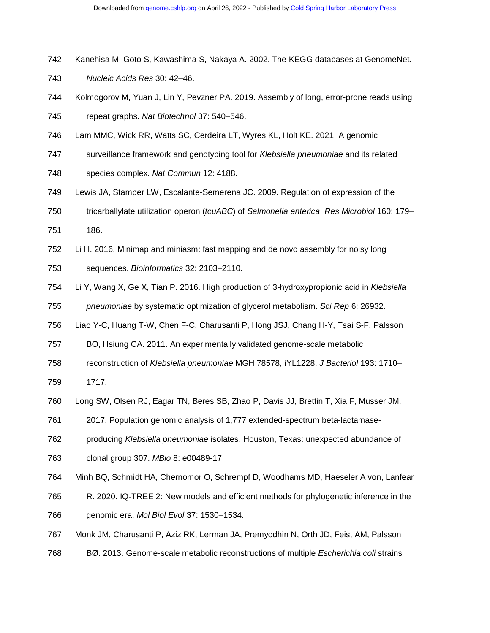- 742 Kanehisa M, Goto S, Kawashima S, Nakaya A. 2002. The KEGG databases at GenomeNet.
- 743 *Nucleic Acids Res* 30: 42–46.
- 744 Kolmogorov M, Yuan J, Lin Y, Pevzner PA. 2019. Assembly of long, error-prone reads using 745 repeat graphs. *Nat Biotechnol* 37: 540–546.
- 746 Lam MMC, Wick RR, Watts SC, Cerdeira LT, Wyres KL, Holt KE. 2021. A genomic
- 747 surveillance framework and genotyping tool for *Klebsiella pneumoniae* and its related
- 748 species complex. *Nat Commun* 12: 4188.
- 749 Lewis JA, Stamper LW, Escalante-Semerena JC. 2009. Regulation of expression of the
- 750 tricarballylate utilization operon (*tcuABC*) of *Salmonella enterica*. *Res Microbiol* 160: 179–
- 751 186.
- 752 Li H. 2016. Minimap and miniasm: fast mapping and de novo assembly for noisy long
- 753 sequences. *Bioinformatics* 32: 2103–2110.
- 754 Li Y, Wang X, Ge X, Tian P. 2016. High production of 3-hydroxypropionic acid in *Klebsiella*
- 755 *pneumoniae* by systematic optimization of glycerol metabolism. *Sci Rep* 6: 26932.
- 756 Liao Y-C, Huang T-W, Chen F-C, Charusanti P, Hong JSJ, Chang H-Y, Tsai S-F, Palsson
- 757 BO, Hsiung CA. 2011. An experimentally validated genome-scale metabolic
- 758 reconstruction of *Klebsiella pneumoniae* MGH 78578, iYL1228. *J Bacteriol* 193: 1710–
- 759 1717.
- 760 Long SW, Olsen RJ, Eagar TN, Beres SB, Zhao P, Davis JJ, Brettin T, Xia F, Musser JM.
- 761 2017. Population genomic analysis of 1,777 extended-spectrum beta-lactamase-
- 762 producing *Klebsiella pneumoniae* isolates, Houston, Texas: unexpected abundance of 763 clonal group 307. *MBio* 8: e00489-17.
- 764 Minh BQ, Schmidt HA, Chernomor O, Schrempf D, Woodhams MD, Haeseler A von, Lanfear
- 765 R. 2020. IQ-TREE 2: New models and efficient methods for phylogenetic inference in the
- 766 genomic era. *Mol Biol Evol* 37: 1530–1534.
- 767 Monk JM, Charusanti P, Aziz RK, Lerman JA, Premyodhin N, Orth JD, Feist AM, Palsson
- 768 BØ. 2013. Genome-scale metabolic reconstructions of multiple *Escherichia coli* strains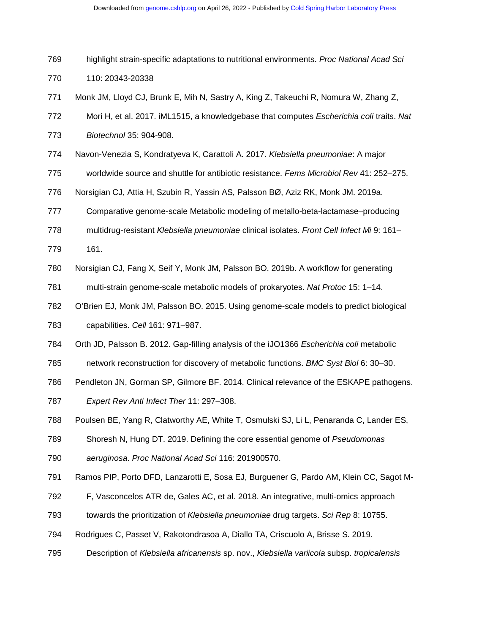- 769 highlight strain-specific adaptations to nutritional environments. *Proc National Acad Sci* 770 110: 20343-20338
- 
- 771 Monk JM, Lloyd CJ, Brunk E, Mih N, Sastry A, King Z, Takeuchi R, Nomura W, Zhang Z,
- 772 Mori H, et al. 2017. iML1515, a knowledgebase that computes *Escherichia coli* traits. *Nat*
- 773 *Biotechnol* 35: 904-908.
- 774 Navon-Venezia S, Kondratyeva K, Carattoli A. 2017. *Klebsiella pneumoniae*: A major
- 775 worldwide source and shuttle for antibiotic resistance. *Fems Microbiol Rev* 41: 252–275.
- 776 Norsigian CJ, Attia H, Szubin R, Yassin AS, Palsson BØ, Aziz RK, Monk JM. 2019a.
- 777 Comparative genome-scale Metabolic modeling of metallo-beta-lactamase–producing
- 778 multidrug-resistant *Klebsiella pneumoniae* clinical isolates. *Front Cell Infect Mi* 9: 161–
- 779 161.
- 780 Norsigian CJ, Fang X, Seif Y, Monk JM, Palsson BO. 2019b. A workflow for generating
- 781 multi-strain genome-scale metabolic models of prokaryotes. *Nat Protoc* 15: 1–14.
- 782 O'Brien EJ, Monk JM, Palsson BO. 2015. Using genome-scale models to predict biological 783 capabilities. *Cell* 161: 971–987.
- 784 Orth JD, Palsson B. 2012. Gap-filling analysis of the iJO1366 *Escherichia coli* metabolic
- 785 network reconstruction for discovery of metabolic functions. *BMC Syst Biol* 6: 30–30.
- 786 Pendleton JN, Gorman SP, Gilmore BF. 2014. Clinical relevance of the ESKAPE pathogens.
- 787 *Expert Rev Anti Infect Ther* 11: 297–308.
- 788 Poulsen BE, Yang R, Clatworthy AE, White T, Osmulski SJ, Li L, Penaranda C, Lander ES,
- 789 Shoresh N, Hung DT. 2019. Defining the core essential genome of *Pseudomonas*  790 *aeruginosa*. *Proc National Acad Sci* 116: 201900570.
- 791 Ramos PIP, Porto DFD, Lanzarotti E, Sosa EJ, Burguener G, Pardo AM, Klein CC, Sagot M-
- 792 F, Vasconcelos ATR de, Gales AC, et al. 2018. An integrative, multi-omics approach
- 793 towards the prioritization of *Klebsiella pneumoniae* drug targets. *Sci Rep* 8: 10755.
- 794 Rodrigues C, Passet V, Rakotondrasoa A, Diallo TA, Criscuolo A, Brisse S. 2019.
- 795 Description of *Klebsiella africanensis* sp. nov., *Klebsiella variicola* subsp. *tropicalensis*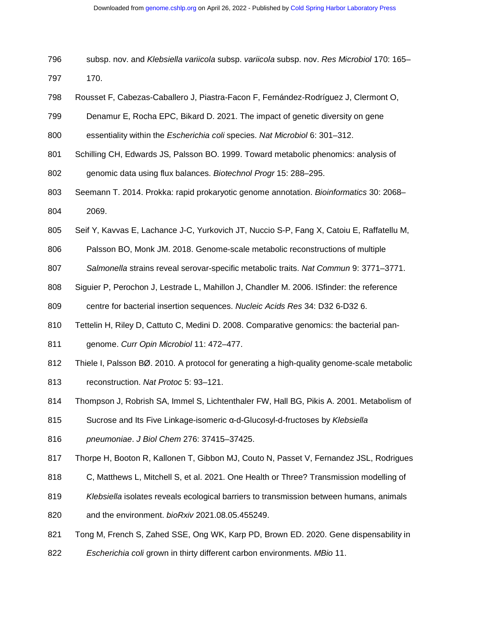796 subsp. nov. and *Klebsiella variicola* subsp. *variicola* subsp. nov. *Res Microbiol* 170: 165–

797 170.

- 798 Rousset F, Cabezas-Caballero J, Piastra-Facon F, Fernández-Rodríguez J, Clermont O,
- 799 Denamur E, Rocha EPC, Bikard D. 2021. The impact of genetic diversity on gene
- 800 essentiality within the *Escherichia coli* species. *Nat Microbiol* 6: 301–312.
- 801 Schilling CH, Edwards JS, Palsson BO. 1999. Toward metabolic phenomics: analysis of
- 802 genomic data using flux balances. *Biotechnol Progr* 15: 288–295.
- 803 Seemann T. 2014. Prokka: rapid prokaryotic genome annotation. *Bioinformatics* 30: 2068– 804 2069.
- 805 Seif Y, Kavvas E, Lachance J-C, Yurkovich JT, Nuccio S-P, Fang X, Catoiu E, Raffatellu M,
- 806 Palsson BO, Monk JM. 2018. Genome-scale metabolic reconstructions of multiple
- 807 *Salmonella* strains reveal serovar-specific metabolic traits. *Nat Commun* 9: 3771–3771.
- 808 Siguier P, Perochon J, Lestrade L, Mahillon J, Chandler M. 2006. ISfinder: the reference
- 809 centre for bacterial insertion sequences. *Nucleic Acids Res* 34: D32 6-D32 6.
- 810 Tettelin H, Riley D, Cattuto C, Medini D. 2008. Comparative genomics: the bacterial pan-
- 811 genome. *Curr Opin Microbiol* 11: 472–477.
- 812 Thiele I, Palsson BØ. 2010. A protocol for generating a high-quality genome-scale metabolic
- 813 reconstruction. *Nat Protoc* 5: 93–121.
- 814 Thompson J, Robrish SA, Immel S, Lichtenthaler FW, Hall BG, Pikis A. 2001. Metabolism of
- 815 Sucrose and Its Five Linkage-isomeric α-d-Glucosyl-d-fructoses by *Klebsiella*
- 816 *pneumoniae*. *J Biol Chem* 276: 37415–37425.
- 817 Thorpe H, Booton R, Kallonen T, Gibbon MJ, Couto N, Passet V, Fernandez JSL, Rodrigues
- 818 C, Matthews L, Mitchell S, et al. 2021. One Health or Three? Transmission modelling of
- 819 *Klebsiella* isolates reveals ecological barriers to transmission between humans, animals
- 820 and the environment. *bioRxiv* 2021.08.05.455249.
- 821 Tong M, French S, Zahed SSE, Ong WK, Karp PD, Brown ED. 2020. Gene dispensability in
- 822 *Escherichia coli* grown in thirty different carbon environments. *MBio* 11.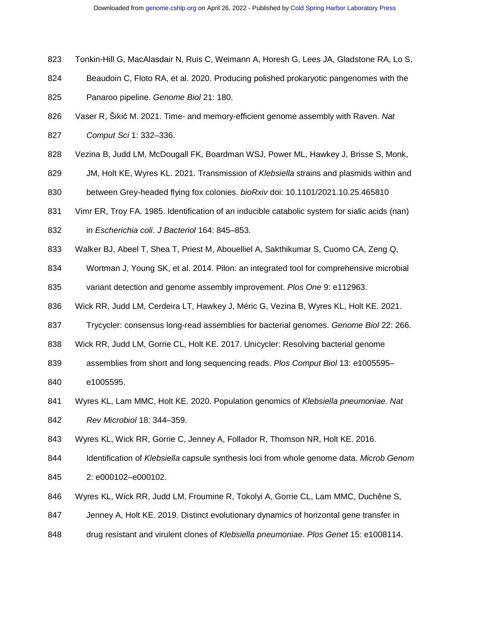- 823 Tonkin-Hill G, MacAlasdair N, Ruis C, Weimann A, Horesh G, Lees JA, Gladstone RA, Lo S,
- 824 Beaudoin C, Floto RA, et al. 2020. Producing polished prokaryotic pangenomes with the
- 825 Panaroo pipeline. *Genome Biol* 21: 180.
- 826 Vaser R, Šikić M. 2021. Time- and memory-efficient genome assembly with Raven. *Nat*
- 827 *Comput Sci* 1: 332–336.
- 828 Vezina B, Judd LM, McDougall FK, Boardman WSJ, Power ML, Hawkey J, Brisse S, Monk,
- 829 JM, Holt KE, Wyres KL. 2021. Transmission of *Klebsiella* strains and plasmids within and
- 830 between Grey-headed flying fox colonies. *bioRxiv* doi: 10.1101/2021.10.25.465810
- 831 Vimr ER, Troy FA. 1985. Identification of an inducible catabolic system for sialic acids (nan)
- 832 in *Escherichia coli*. *J Bacteriol* 164: 845–853.
- 833 Walker BJ, Abeel T, Shea T, Priest M, Abouelliel A, Sakthikumar S, Cuomo CA, Zeng Q,
- 834 Wortman J, Young SK, et al. 2014. Pilon: an integrated tool for comprehensive microbial
- 835 variant detection and genome assembly improvement. *Plos One* 9: e112963.
- 836 Wick RR, Judd LM, Cerdeira LT, Hawkey J, Méric G, Vezina B, Wyres KL, Holt KE. 2021.
- 837 Trycycler: consensus long-read assemblies for bacterial genomes. *Genome Biol* 22: 266.
- 838 Wick RR, Judd LM, Gorrie CL, Holt KE. 2017. Unicycler: Resolving bacterial genome
- 839 assemblies from short and long sequencing reads. *Plos Comput Biol* 13: e1005595–
- 840 e1005595.
- 841 Wyres KL, Lam MMC, Holt KE. 2020. Population genomics of *Klebsiella pneumoniae*. *Nat*  842 *Rev Microbiol* 18: 344–359.
- 843 Wyres KL, Wick RR, Gorrie C, Jenney A, Follador R, Thomson NR, Holt KE. 2016.
- 844 Identification of *Klebsiella* capsule synthesis loci from whole genome data. *Microb Genom*
- 845 2: e000102–e000102.
- 846 Wyres KL, Wick RR, Judd LM, Froumine R, Tokolyi A, Gorrie CL, Lam MMC, Duchêne S,
- 847 Jenney A, Holt KE. 2019. Distinct evolutionary dynamics of horizontal gene transfer in
- 848 drug resistant and virulent clones of *Klebsiella pneumoniae*. *Plos Genet* 15: e1008114.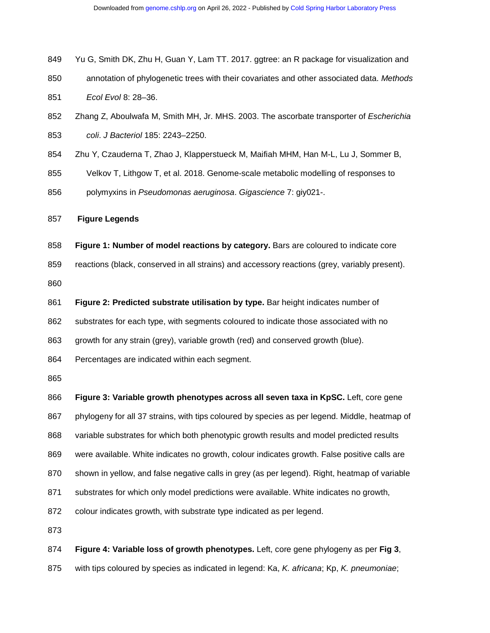- 849 Yu G, Smith DK, Zhu H, Guan Y, Lam TT. 2017. ggtree: an R package for visualization and
- 850 annotation of phylogenetic trees with their covariates and other associated data. *Methods*

851 *Ecol Evol* 8: 28–36.

- 852 Zhang Z, Aboulwafa M, Smith MH, Jr. MHS. 2003. The ascorbate transporter of *Escherichia*
- 853 *coli*. *J Bacteriol* 185: 2243–2250.
- 854 Zhu Y, Czauderna T, Zhao J, Klapperstueck M, Maifiah MHM, Han M-L, Lu J, Sommer B,
- 855 Velkov T, Lithgow T, et al. 2018. Genome-scale metabolic modelling of responses to
- 856 polymyxins in *Pseudomonas aeruginosa*. *Gigascience* 7: giy021-.

#### 857 **Figure Legends**

- 858 **Figure 1: Number of model reactions by category.** Bars are coloured to indicate core
- 859 reactions (black, conserved in all strains) and accessory reactions (grey, variably present). 860
- 861 **Figure 2: Predicted substrate utilisation by type.** Bar height indicates number of
- 862 substrates for each type, with segments coloured to indicate those associated with no
- 863 growth for any strain (grey), variable growth (red) and conserved growth (blue).
- 864 Percentages are indicated within each segment.
- 865

866 **Figure 3: Variable growth phenotypes across all seven taxa in KpSC.** Left, core gene 867 phylogeny for all 37 strains, with tips coloured by species as per legend. Middle, heatmap of 868 variable substrates for which both phenotypic growth results and model predicted results 869 were available. White indicates no growth, colour indicates growth. False positive calls are 870 shown in yellow, and false negative calls in grey (as per legend). Right, heatmap of variable 871 substrates for which only model predictions were available. White indicates no growth, 872 colour indicates growth, with substrate type indicated as per legend. 873

874 **Figure 4: Variable loss of growth phenotypes.** Left, core gene phylogeny as per **Fig 3**, 875 with tips coloured by species as indicated in legend: Ka, *K. africana*; Kp, *K. pneumoniae*;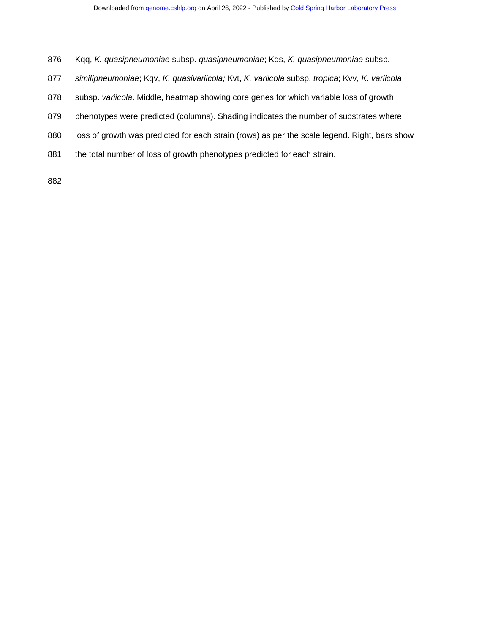- 876 Kqq, *K. quasipneumoniae* subsp. *quasipneumoniae*; Kqs, *K. quasipneumoniae* subsp.
- 877 *similipneumoniae*; Kqv, *K. quasivariicola;* Kvt, *K. variicola* subsp. *tropica*; Kvv, *K. variicola*
- 878 subsp. *variicola*. Middle, heatmap showing core genes for which variable loss of growth
- 879 phenotypes were predicted (columns). Shading indicates the number of substrates where
- 880 loss of growth was predicted for each strain (rows) as per the scale legend. Right, bars show
- 881 the total number of loss of growth phenotypes predicted for each strain.

882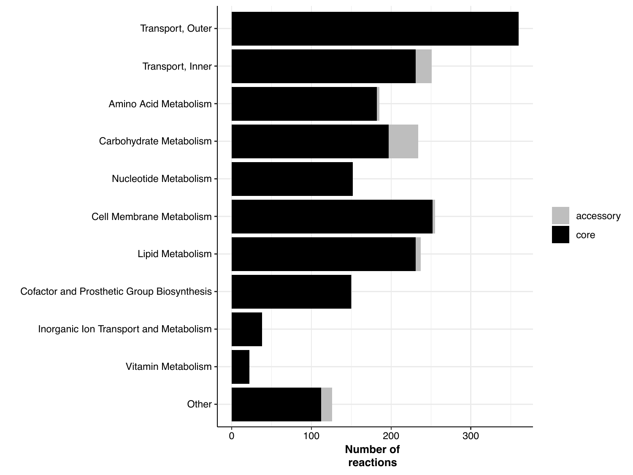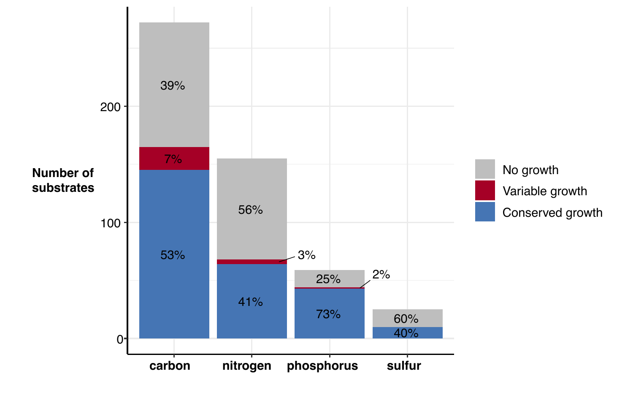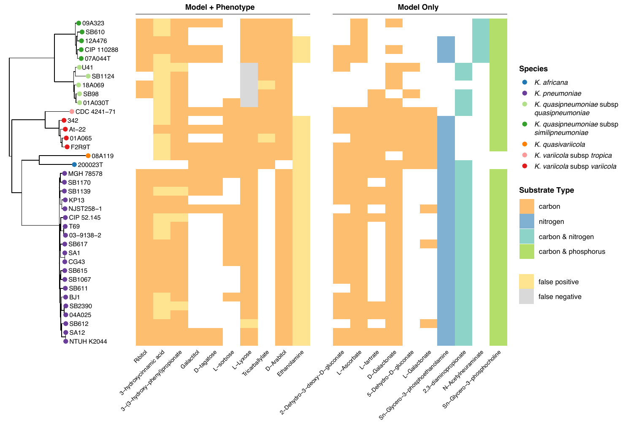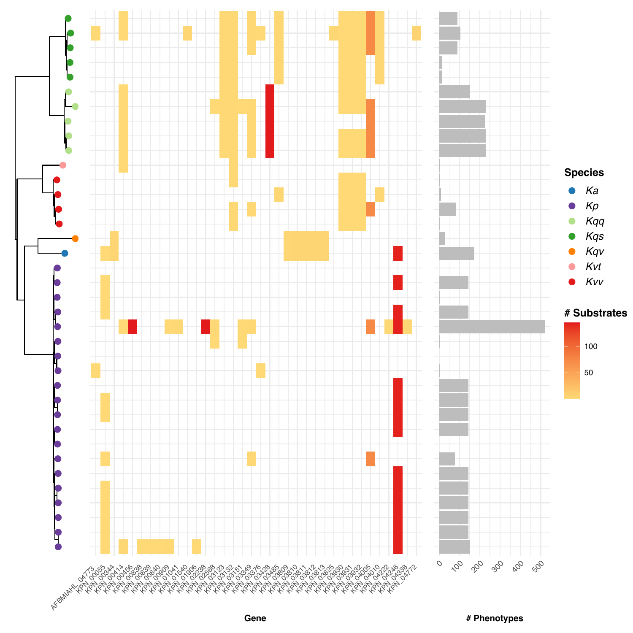